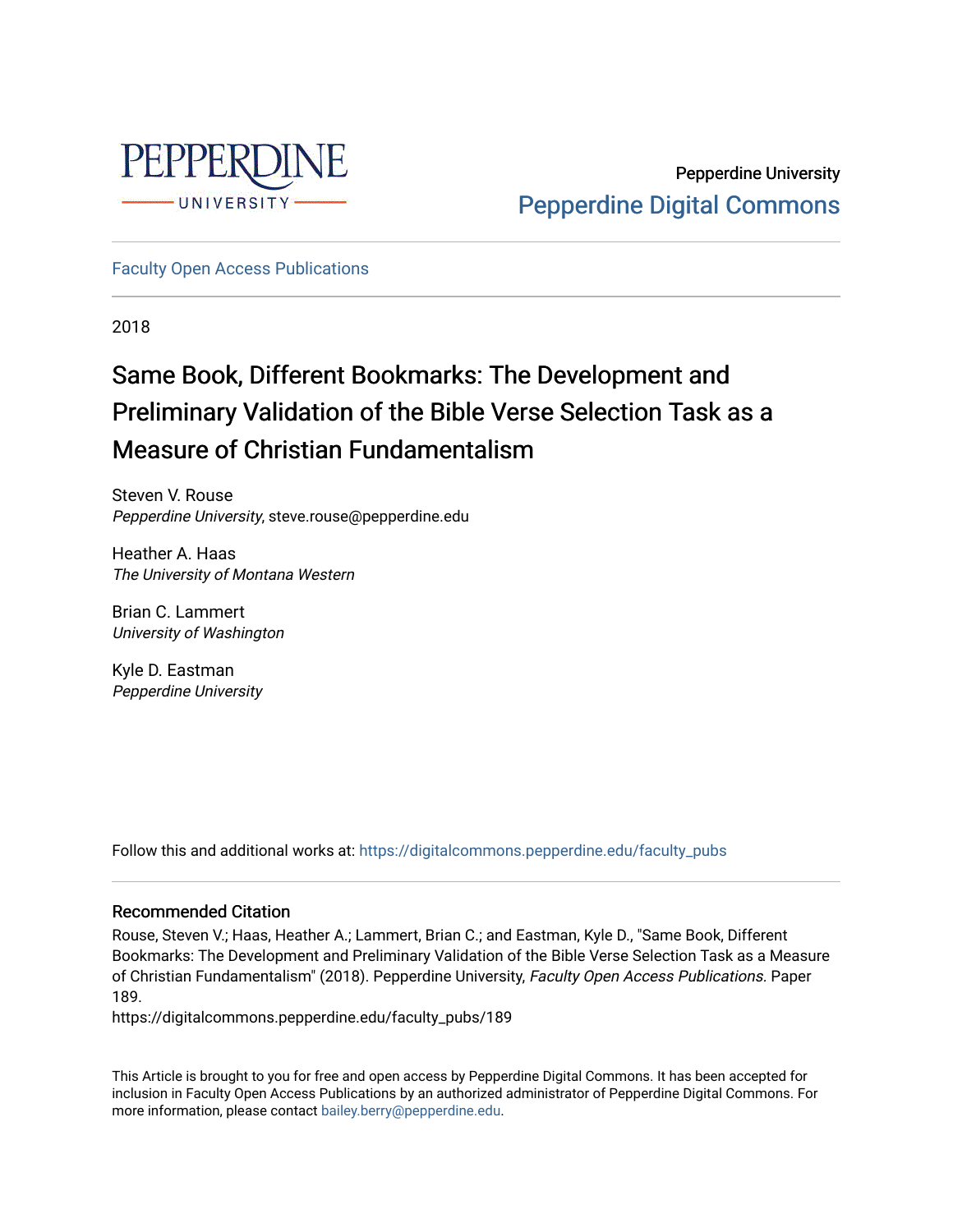

Pepperdine University [Pepperdine Digital Commons](https://digitalcommons.pepperdine.edu/) 

[Faculty Open Access Publications](https://digitalcommons.pepperdine.edu/faculty_pubs)

2018

# Same Book, Different Bookmarks: The Development and Preliminary Validation of the Bible Verse Selection Task as a Measure of Christian Fundamentalism

Steven V. Rouse Pepperdine University, steve.rouse@pepperdine.edu

Heather A. Haas The University of Montana Western

Brian C. Lammert University of Washington

Kyle D. Eastman Pepperdine University

Follow this and additional works at: [https://digitalcommons.pepperdine.edu/faculty\\_pubs](https://digitalcommons.pepperdine.edu/faculty_pubs?utm_source=digitalcommons.pepperdine.edu%2Ffaculty_pubs%2F189&utm_medium=PDF&utm_campaign=PDFCoverPages)

# Recommended Citation

Rouse, Steven V.; Haas, Heather A.; Lammert, Brian C.; and Eastman, Kyle D., "Same Book, Different Bookmarks: The Development and Preliminary Validation of the Bible Verse Selection Task as a Measure of Christian Fundamentalism" (2018). Pepperdine University, Faculty Open Access Publications. Paper 189.

https://digitalcommons.pepperdine.edu/faculty\_pubs/189

This Article is brought to you for free and open access by Pepperdine Digital Commons. It has been accepted for inclusion in Faculty Open Access Publications by an authorized administrator of Pepperdine Digital Commons. For more information, please contact [bailey.berry@pepperdine.edu.](mailto:bailey.berry@pepperdine.edu)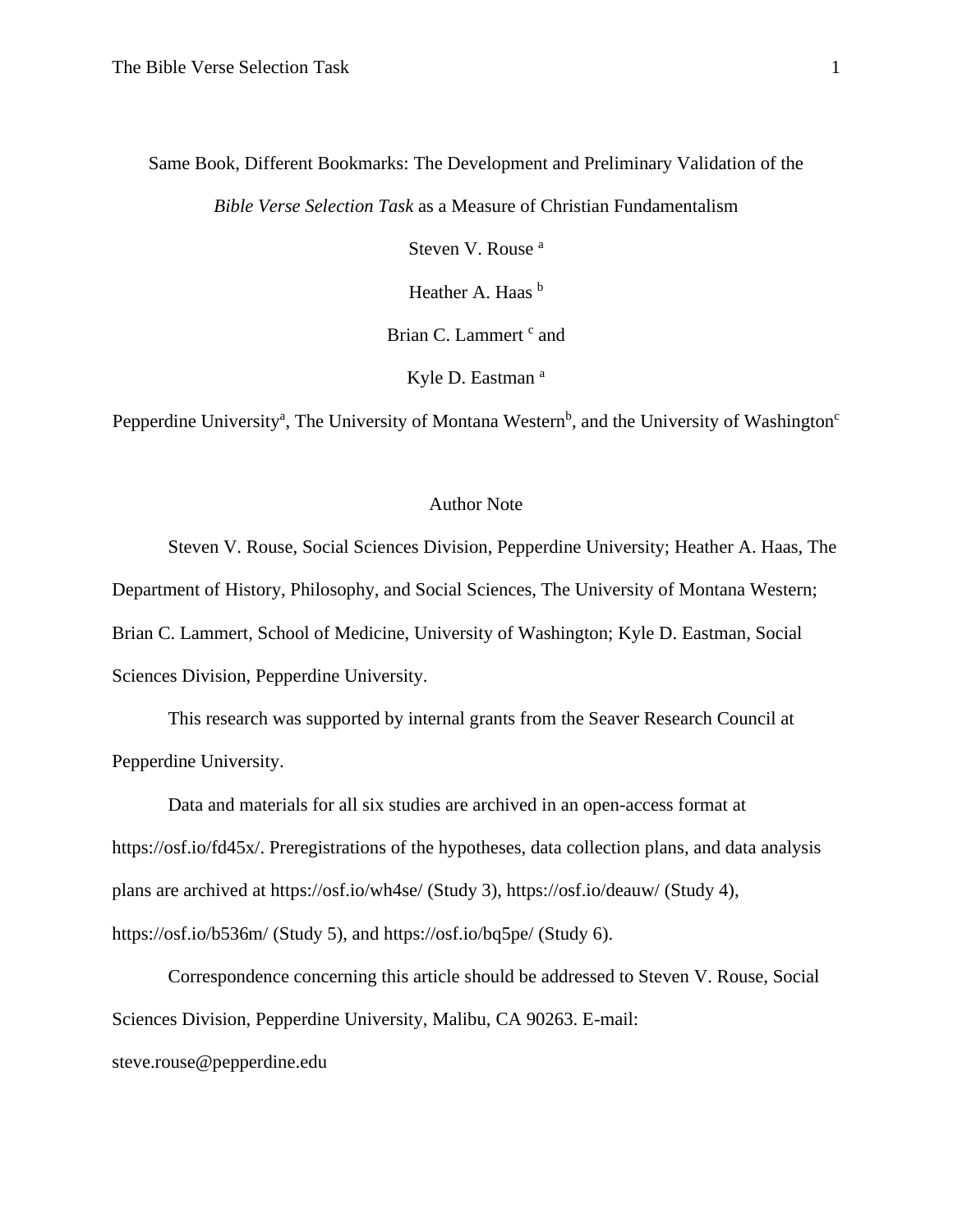Same Book, Different Bookmarks: The Development and Preliminary Validation of the *Bible Verse Selection Task* as a Measure of Christian Fundamentalism

Steven V. Rouse<sup>a</sup>

Heather A. Haas b

Brian C. Lammert c and

Kyle D. Eastman<sup>a</sup>

Pepperdine University<sup>a</sup>, The University of Montana Western<sup>b</sup>, and the University of Washington<sup>c</sup>

# Author Note

Steven V. Rouse, Social Sciences Division, Pepperdine University; Heather A. Haas, The Department of History, Philosophy, and Social Sciences, The University of Montana Western; Brian C. Lammert, School of Medicine, University of Washington; Kyle D. Eastman, Social Sciences Division, Pepperdine University.

This research was supported by internal grants from the Seaver Research Council at Pepperdine University.

Data and materials for all six studies are archived in an open-access format at https://osf.io/fd45x/. Preregistrations of the hypotheses, data collection plans, and data analysis plans are archived at https://osf.io/wh4se/ (Study 3), https://osf.io/deauw/ (Study 4), https://osf.io/b536m/ (Study 5), and https://osf.io/bq5pe/ (Study 6).

Correspondence concerning this article should be addressed to Steven V. Rouse, Social Sciences Division, Pepperdine University, Malibu, CA 90263. E-mail: steve.rouse@pepperdine.edu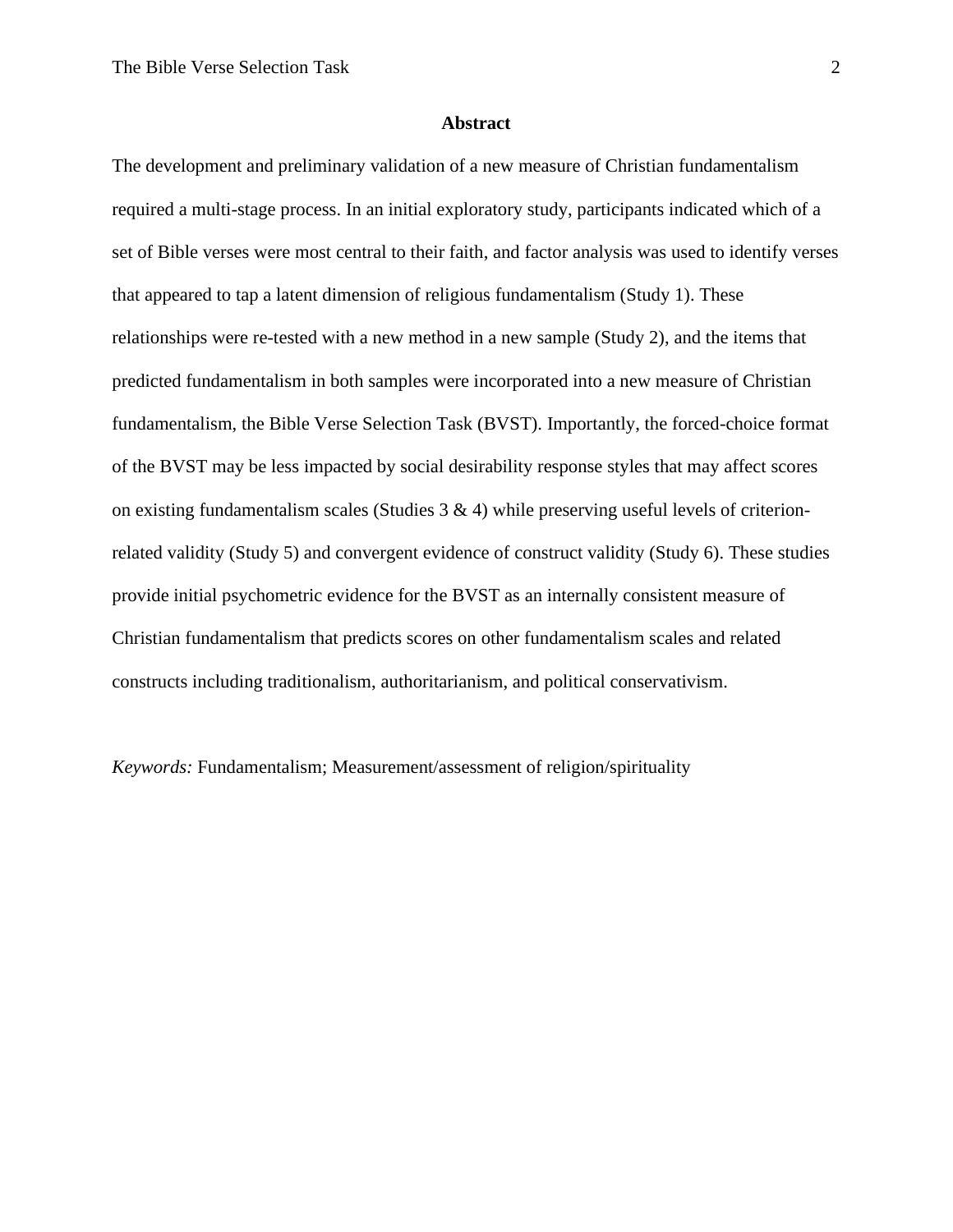#### **Abstract**

The development and preliminary validation of a new measure of Christian fundamentalism required a multi-stage process. In an initial exploratory study, participants indicated which of a set of Bible verses were most central to their faith, and factor analysis was used to identify verses that appeared to tap a latent dimension of religious fundamentalism (Study 1). These relationships were re-tested with a new method in a new sample (Study 2), and the items that predicted fundamentalism in both samples were incorporated into a new measure of Christian fundamentalism, the Bible Verse Selection Task (BVST). Importantly, the forced-choice format of the BVST may be less impacted by social desirability response styles that may affect scores on existing fundamentalism scales (Studies  $3 \& 4$ ) while preserving useful levels of criterionrelated validity (Study 5) and convergent evidence of construct validity (Study 6). These studies provide initial psychometric evidence for the BVST as an internally consistent measure of Christian fundamentalism that predicts scores on other fundamentalism scales and related constructs including traditionalism, authoritarianism, and political conservativism.

*Keywords:* Fundamentalism; Measurement/assessment of religion/spirituality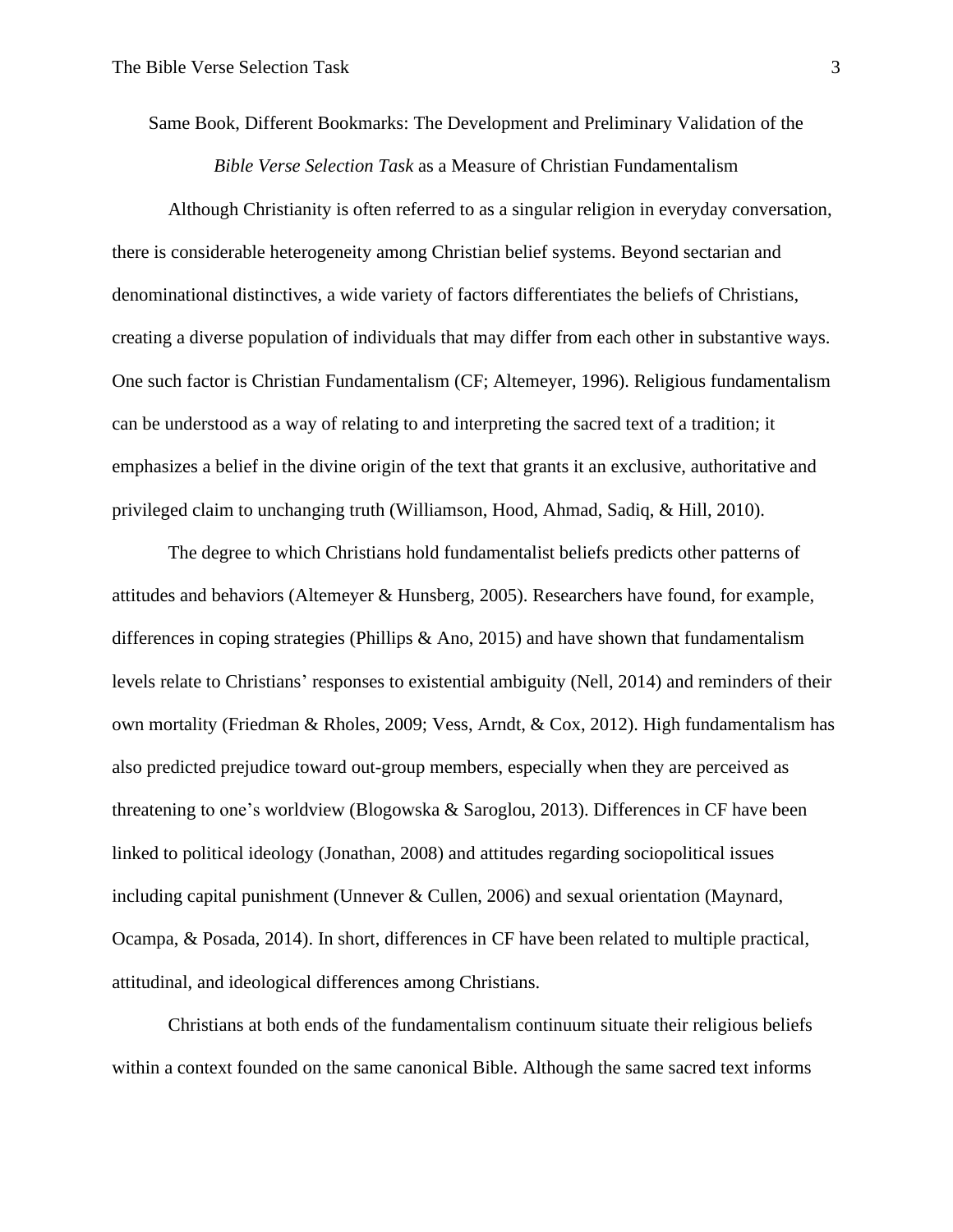Same Book, Different Bookmarks: The Development and Preliminary Validation of the *Bible Verse Selection Task* as a Measure of Christian Fundamentalism

Although Christianity is often referred to as a singular religion in everyday conversation, there is considerable heterogeneity among Christian belief systems. Beyond sectarian and denominational distinctives, a wide variety of factors differentiates the beliefs of Christians, creating a diverse population of individuals that may differ from each other in substantive ways. One such factor is Christian Fundamentalism (CF; Altemeyer, 1996). Religious fundamentalism can be understood as a way of relating to and interpreting the sacred text of a tradition; it emphasizes a belief in the divine origin of the text that grants it an exclusive, authoritative and privileged claim to unchanging truth (Williamson, Hood, Ahmad, Sadiq, & Hill, 2010).

The degree to which Christians hold fundamentalist beliefs predicts other patterns of attitudes and behaviors (Altemeyer & Hunsberg, 2005). Researchers have found, for example, differences in coping strategies (Phillips & Ano, 2015) and have shown that fundamentalism levels relate to Christians' responses to existential ambiguity (Nell, 2014) and reminders of their own mortality (Friedman & Rholes, 2009; Vess, Arndt, & Cox, 2012). High fundamentalism has also predicted prejudice toward out-group members, especially when they are perceived as threatening to one's worldview (Blogowska & Saroglou, 2013). Differences in CF have been linked to political ideology (Jonathan, 2008) and attitudes regarding sociopolitical issues including capital punishment (Unnever & Cullen, 2006) and sexual orientation (Maynard, Ocampa, & Posada, 2014). In short, differences in CF have been related to multiple practical, attitudinal, and ideological differences among Christians.

Christians at both ends of the fundamentalism continuum situate their religious beliefs within a context founded on the same canonical Bible. Although the same sacred text informs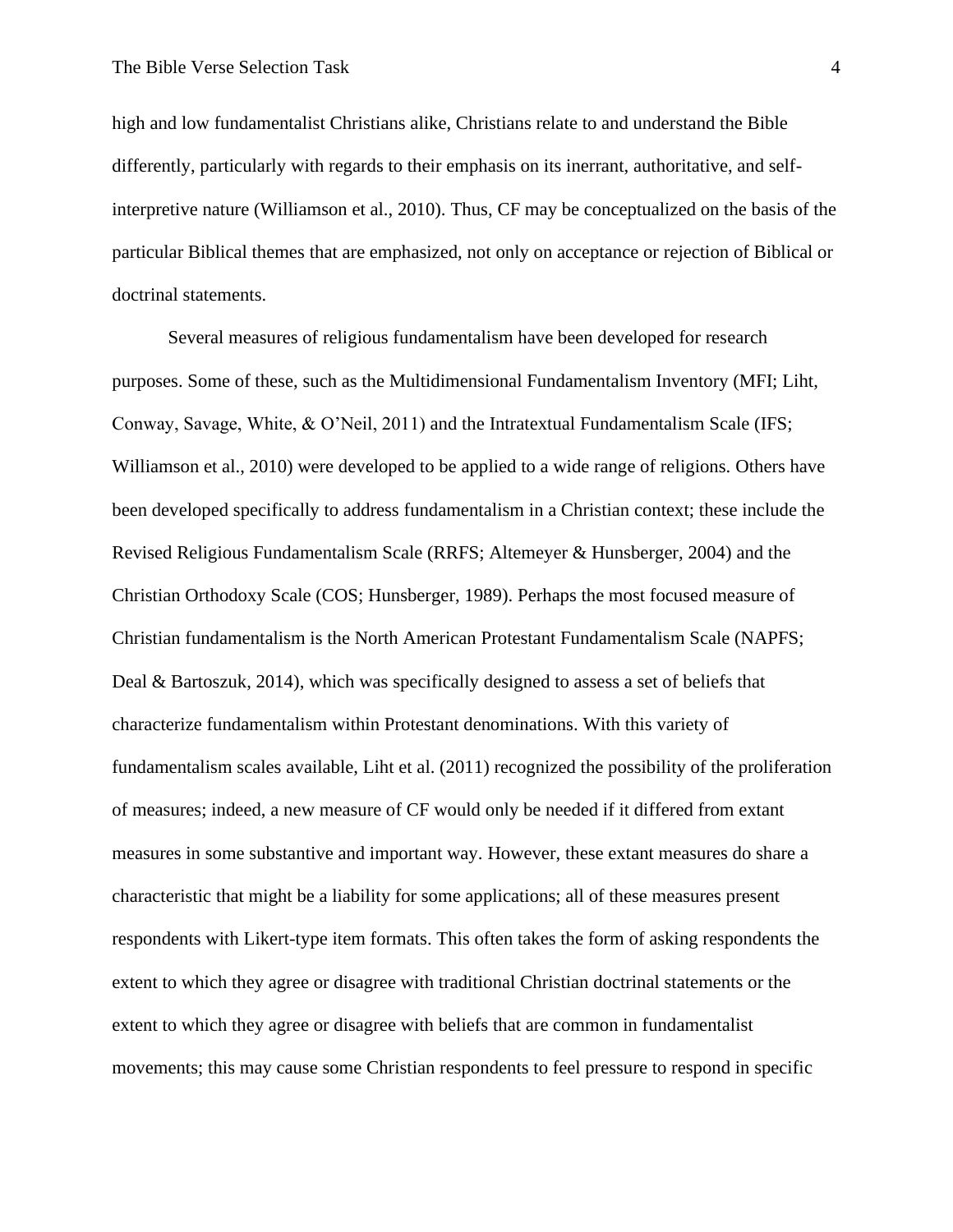high and low fundamentalist Christians alike, Christians relate to and understand the Bible differently, particularly with regards to their emphasis on its inerrant, authoritative, and selfinterpretive nature (Williamson et al., 2010). Thus, CF may be conceptualized on the basis of the particular Biblical themes that are emphasized, not only on acceptance or rejection of Biblical or doctrinal statements.

Several measures of religious fundamentalism have been developed for research purposes. Some of these, such as the Multidimensional Fundamentalism Inventory (MFI; Liht, Conway, Savage, White, & O'Neil, 2011) and the Intratextual Fundamentalism Scale (IFS; Williamson et al., 2010) were developed to be applied to a wide range of religions. Others have been developed specifically to address fundamentalism in a Christian context; these include the Revised Religious Fundamentalism Scale (RRFS; Altemeyer & Hunsberger, 2004) and the Christian Orthodoxy Scale (COS; Hunsberger, 1989). Perhaps the most focused measure of Christian fundamentalism is the North American Protestant Fundamentalism Scale (NAPFS; Deal & Bartoszuk, 2014), which was specifically designed to assess a set of beliefs that characterize fundamentalism within Protestant denominations. With this variety of fundamentalism scales available, Liht et al. (2011) recognized the possibility of the proliferation of measures; indeed, a new measure of CF would only be needed if it differed from extant measures in some substantive and important way. However, these extant measures do share a characteristic that might be a liability for some applications; all of these measures present respondents with Likert-type item formats. This often takes the form of asking respondents the extent to which they agree or disagree with traditional Christian doctrinal statements or the extent to which they agree or disagree with beliefs that are common in fundamentalist movements; this may cause some Christian respondents to feel pressure to respond in specific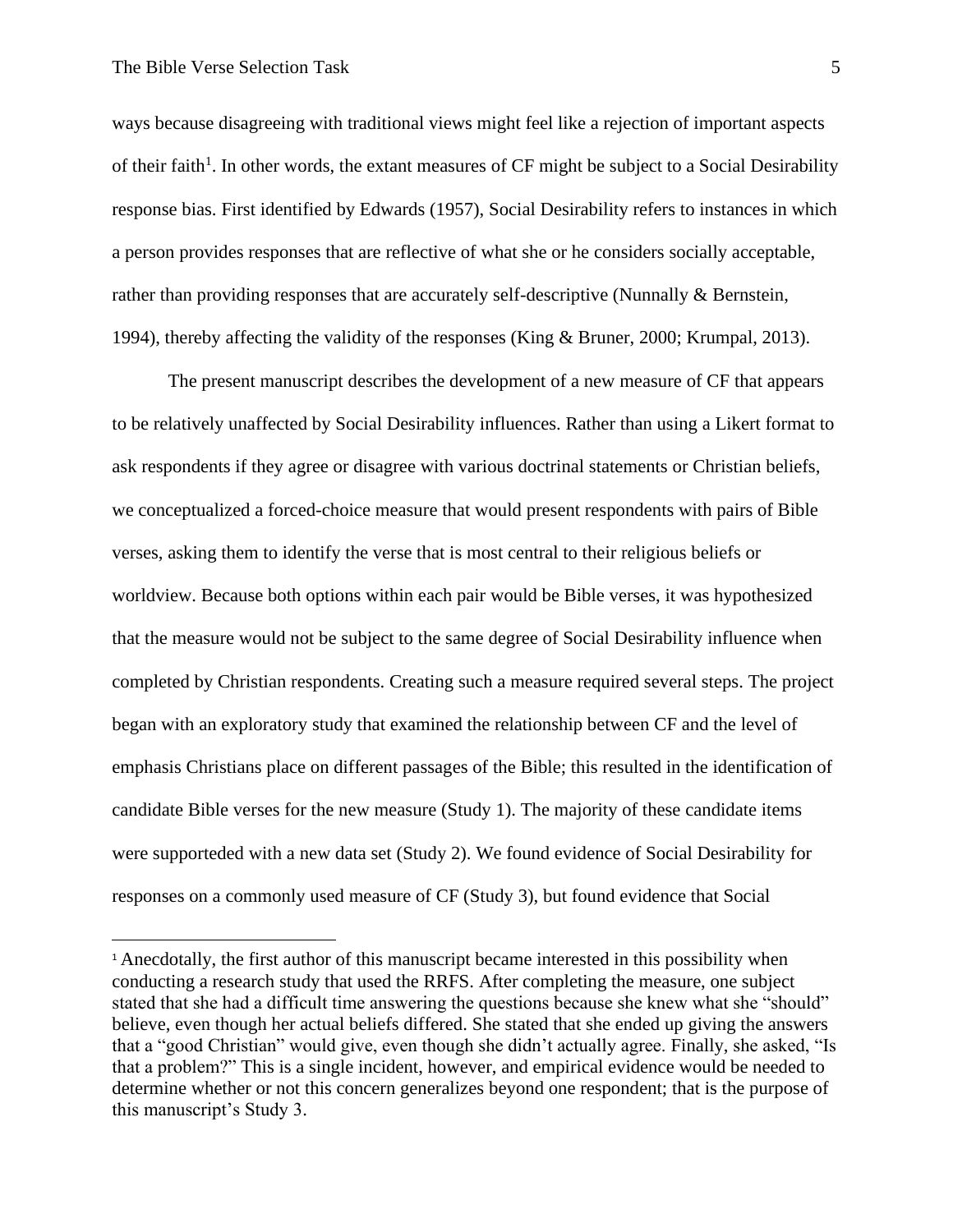ways because disagreeing with traditional views might feel like a rejection of important aspects of their faith<sup>1</sup>. In other words, the extant measures of CF might be subject to a Social Desirability response bias. First identified by Edwards (1957), Social Desirability refers to instances in which a person provides responses that are reflective of what she or he considers socially acceptable, rather than providing responses that are accurately self-descriptive (Nunnally & Bernstein, 1994), thereby affecting the validity of the responses (King & Bruner, 2000; Krumpal, 2013).

The present manuscript describes the development of a new measure of CF that appears to be relatively unaffected by Social Desirability influences. Rather than using a Likert format to ask respondents if they agree or disagree with various doctrinal statements or Christian beliefs, we conceptualized a forced-choice measure that would present respondents with pairs of Bible verses, asking them to identify the verse that is most central to their religious beliefs or worldview. Because both options within each pair would be Bible verses, it was hypothesized that the measure would not be subject to the same degree of Social Desirability influence when completed by Christian respondents. Creating such a measure required several steps. The project began with an exploratory study that examined the relationship between CF and the level of emphasis Christians place on different passages of the Bible; this resulted in the identification of candidate Bible verses for the new measure (Study 1). The majority of these candidate items were supporteded with a new data set (Study 2). We found evidence of Social Desirability for responses on a commonly used measure of CF (Study 3), but found evidence that Social

<sup>&</sup>lt;sup>1</sup> Anecdotally, the first author of this manuscript became interested in this possibility when conducting a research study that used the RRFS. After completing the measure, one subject stated that she had a difficult time answering the questions because she knew what she "should" believe, even though her actual beliefs differed. She stated that she ended up giving the answers that a "good Christian" would give, even though she didn't actually agree. Finally, she asked, "Is that a problem?" This is a single incident, however, and empirical evidence would be needed to determine whether or not this concern generalizes beyond one respondent; that is the purpose of this manuscript's Study 3.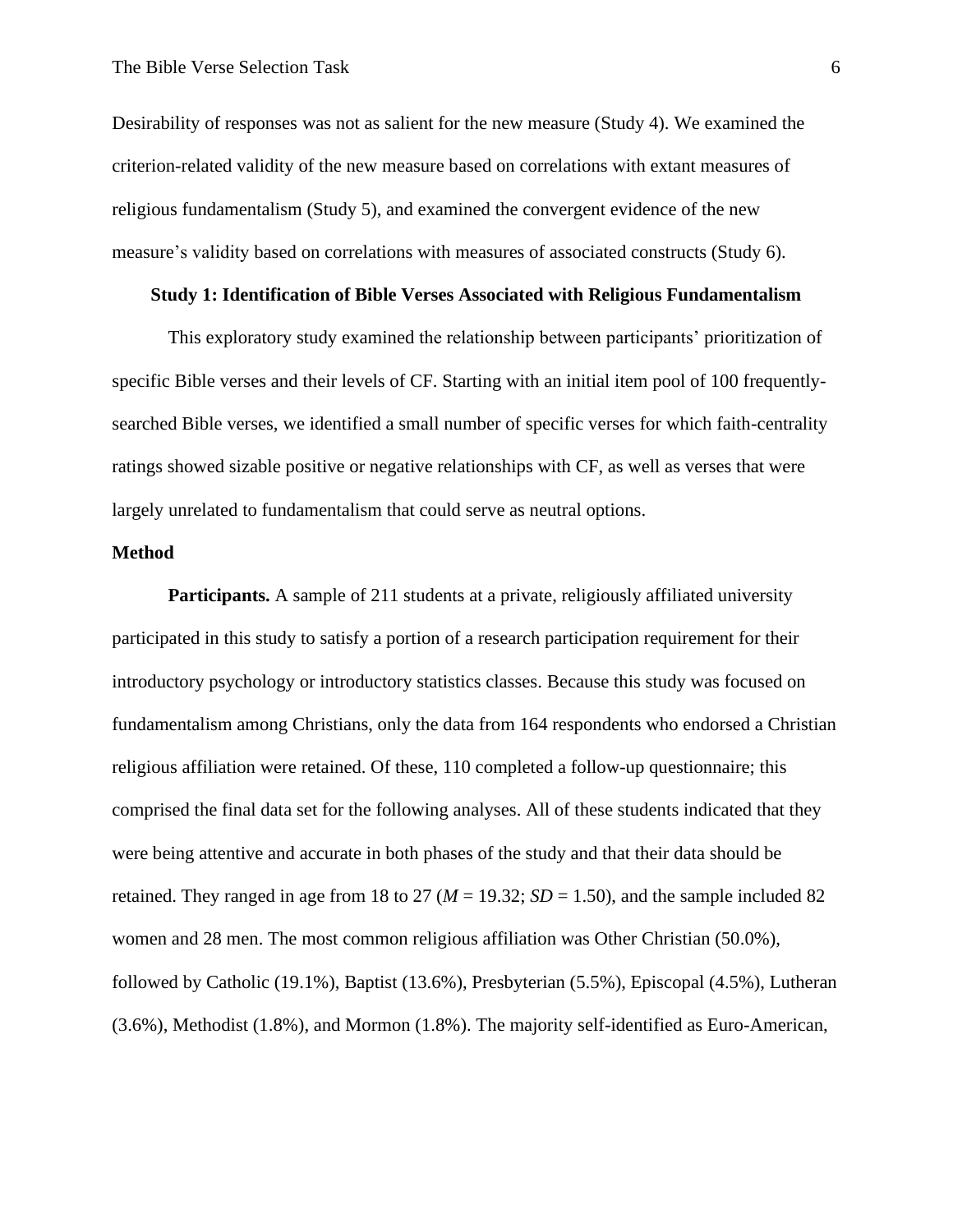Desirability of responses was not as salient for the new measure (Study 4). We examined the criterion-related validity of the new measure based on correlations with extant measures of religious fundamentalism (Study 5), and examined the convergent evidence of the new measure's validity based on correlations with measures of associated constructs (Study 6).

# **Study 1: Identification of Bible Verses Associated with Religious Fundamentalism**

This exploratory study examined the relationship between participants' prioritization of specific Bible verses and their levels of CF. Starting with an initial item pool of 100 frequentlysearched Bible verses, we identified a small number of specific verses for which faith-centrality ratings showed sizable positive or negative relationships with CF, as well as verses that were largely unrelated to fundamentalism that could serve as neutral options.

## **Method**

**Participants.** A sample of 211 students at a private, religiously affiliated university participated in this study to satisfy a portion of a research participation requirement for their introductory psychology or introductory statistics classes. Because this study was focused on fundamentalism among Christians, only the data from 164 respondents who endorsed a Christian religious affiliation were retained. Of these, 110 completed a follow-up questionnaire; this comprised the final data set for the following analyses. All of these students indicated that they were being attentive and accurate in both phases of the study and that their data should be retained. They ranged in age from 18 to 27 ( $M = 19.32$ ;  $SD = 1.50$ ), and the sample included 82 women and 28 men. The most common religious affiliation was Other Christian (50.0%), followed by Catholic (19.1%), Baptist (13.6%), Presbyterian (5.5%), Episcopal (4.5%), Lutheran (3.6%), Methodist (1.8%), and Mormon (1.8%). The majority self-identified as Euro-American,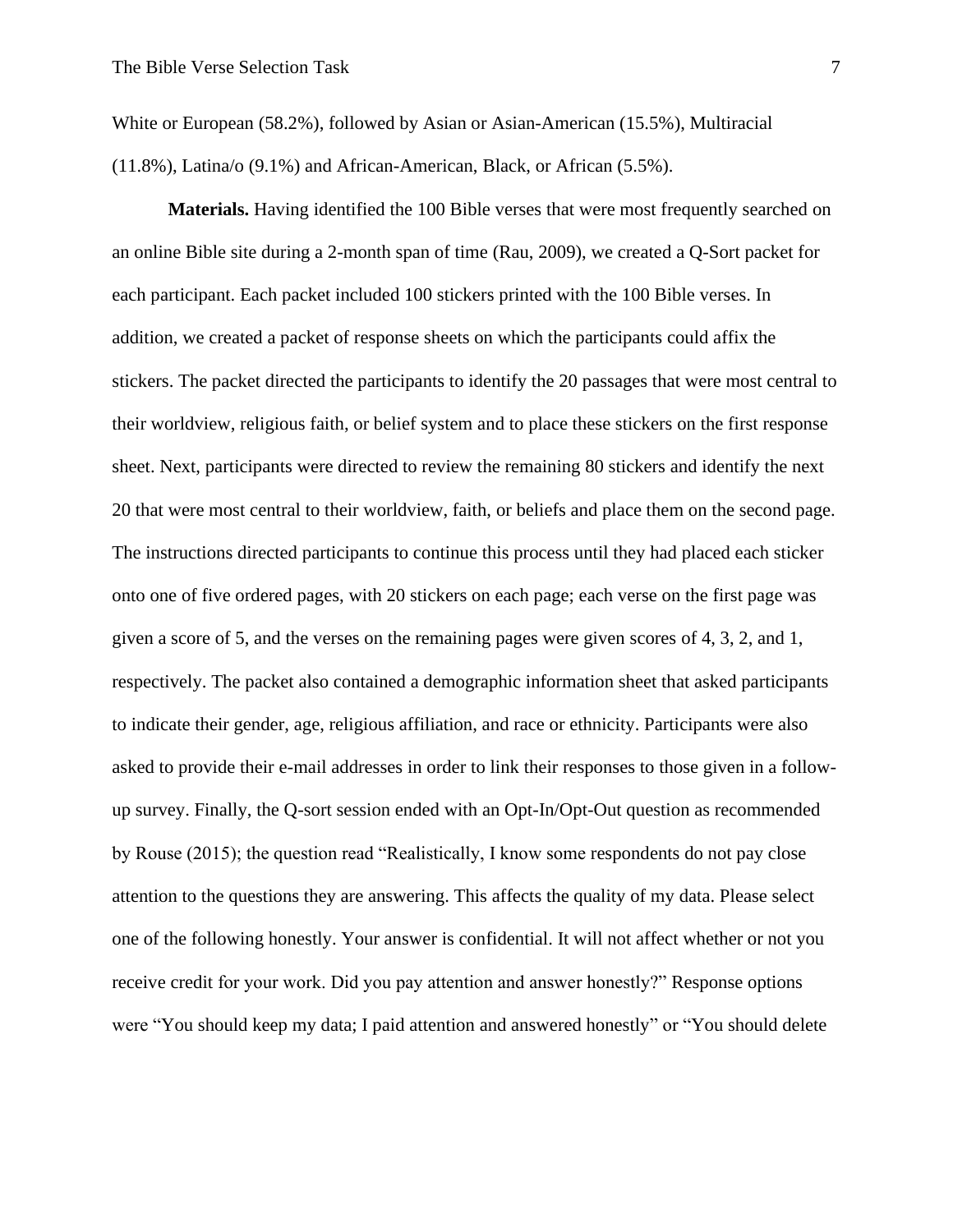White or European (58.2%), followed by Asian or Asian-American (15.5%), Multiracial (11.8%), Latina/o (9.1%) and African-American, Black, or African (5.5%).

**Materials.** Having identified the 100 Bible verses that were most frequently searched on an online Bible site during a 2-month span of time (Rau, 2009), we created a Q-Sort packet for each participant. Each packet included 100 stickers printed with the 100 Bible verses. In addition, we created a packet of response sheets on which the participants could affix the stickers. The packet directed the participants to identify the 20 passages that were most central to their worldview, religious faith, or belief system and to place these stickers on the first response sheet. Next, participants were directed to review the remaining 80 stickers and identify the next 20 that were most central to their worldview, faith, or beliefs and place them on the second page. The instructions directed participants to continue this process until they had placed each sticker onto one of five ordered pages, with 20 stickers on each page; each verse on the first page was given a score of 5, and the verses on the remaining pages were given scores of 4, 3, 2, and 1, respectively. The packet also contained a demographic information sheet that asked participants to indicate their gender, age, religious affiliation, and race or ethnicity. Participants were also asked to provide their e-mail addresses in order to link their responses to those given in a followup survey. Finally, the Q-sort session ended with an Opt-In/Opt-Out question as recommended by Rouse (2015); the question read "Realistically, I know some respondents do not pay close attention to the questions they are answering. This affects the quality of my data. Please select one of the following honestly. Your answer is confidential. It will not affect whether or not you receive credit for your work. Did you pay attention and answer honestly?" Response options were "You should keep my data; I paid attention and answered honestly" or "You should delete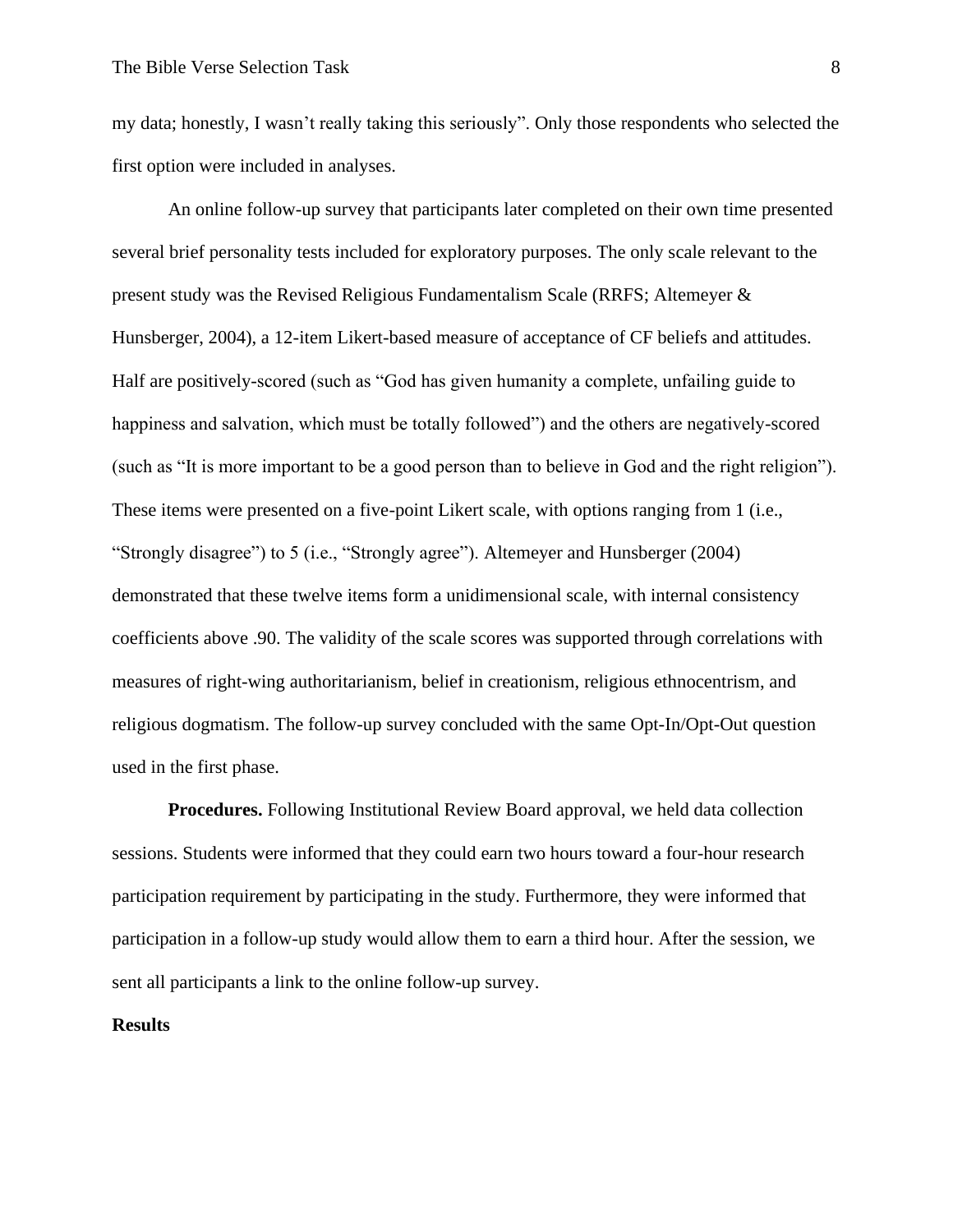my data; honestly, I wasn't really taking this seriously". Only those respondents who selected the first option were included in analyses.

An online follow-up survey that participants later completed on their own time presented several brief personality tests included for exploratory purposes. The only scale relevant to the present study was the Revised Religious Fundamentalism Scale (RRFS; Altemeyer & Hunsberger, 2004), a 12-item Likert-based measure of acceptance of CF beliefs and attitudes. Half are positively-scored (such as "God has given humanity a complete, unfailing guide to happiness and salvation, which must be totally followed") and the others are negatively-scored (such as "It is more important to be a good person than to believe in God and the right religion"). These items were presented on a five-point Likert scale, with options ranging from 1 (i.e., "Strongly disagree") to 5 (i.e., "Strongly agree"). Altemeyer and Hunsberger (2004) demonstrated that these twelve items form a unidimensional scale, with internal consistency coefficients above .90. The validity of the scale scores was supported through correlations with measures of right-wing authoritarianism, belief in creationism, religious ethnocentrism, and religious dogmatism. The follow-up survey concluded with the same Opt-In/Opt-Out question used in the first phase.

**Procedures.** Following Institutional Review Board approval, we held data collection sessions. Students were informed that they could earn two hours toward a four-hour research participation requirement by participating in the study. Furthermore, they were informed that participation in a follow-up study would allow them to earn a third hour. After the session, we sent all participants a link to the online follow-up survey.

## **Results**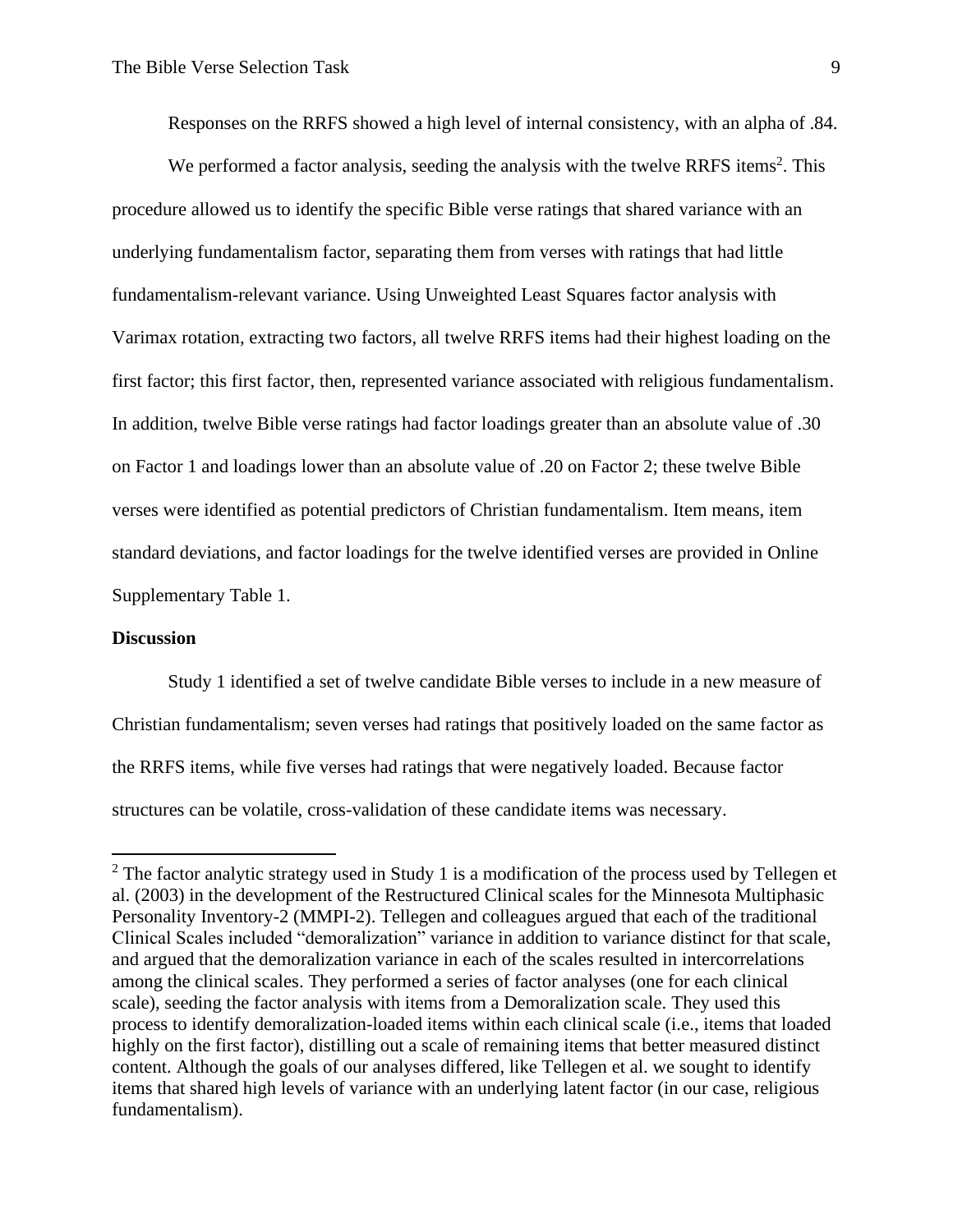Responses on the RRFS showed a high level of internal consistency, with an alpha of .84.

We performed a factor analysis, seeding the analysis with the twelve RRFS items<sup>2</sup>. This procedure allowed us to identify the specific Bible verse ratings that shared variance with an underlying fundamentalism factor, separating them from verses with ratings that had little fundamentalism-relevant variance. Using Unweighted Least Squares factor analysis with Varimax rotation, extracting two factors, all twelve RRFS items had their highest loading on the first factor; this first factor, then, represented variance associated with religious fundamentalism. In addition, twelve Bible verse ratings had factor loadings greater than an absolute value of .30 on Factor 1 and loadings lower than an absolute value of .20 on Factor 2; these twelve Bible verses were identified as potential predictors of Christian fundamentalism. Item means, item standard deviations, and factor loadings for the twelve identified verses are provided in Online Supplementary Table 1.

## **Discussion**

Study 1 identified a set of twelve candidate Bible verses to include in a new measure of Christian fundamentalism; seven verses had ratings that positively loaded on the same factor as the RRFS items, while five verses had ratings that were negatively loaded. Because factor structures can be volatile, cross-validation of these candidate items was necessary.

 $2$  The factor analytic strategy used in Study 1 is a modification of the process used by Tellegen et al. (2003) in the development of the Restructured Clinical scales for the Minnesota Multiphasic Personality Inventory-2 (MMPI-2). Tellegen and colleagues argued that each of the traditional Clinical Scales included "demoralization" variance in addition to variance distinct for that scale, and argued that the demoralization variance in each of the scales resulted in intercorrelations among the clinical scales. They performed a series of factor analyses (one for each clinical scale), seeding the factor analysis with items from a Demoralization scale. They used this process to identify demoralization-loaded items within each clinical scale (i.e., items that loaded highly on the first factor), distilling out a scale of remaining items that better measured distinct content. Although the goals of our analyses differed, like Tellegen et al. we sought to identify items that shared high levels of variance with an underlying latent factor (in our case, religious fundamentalism).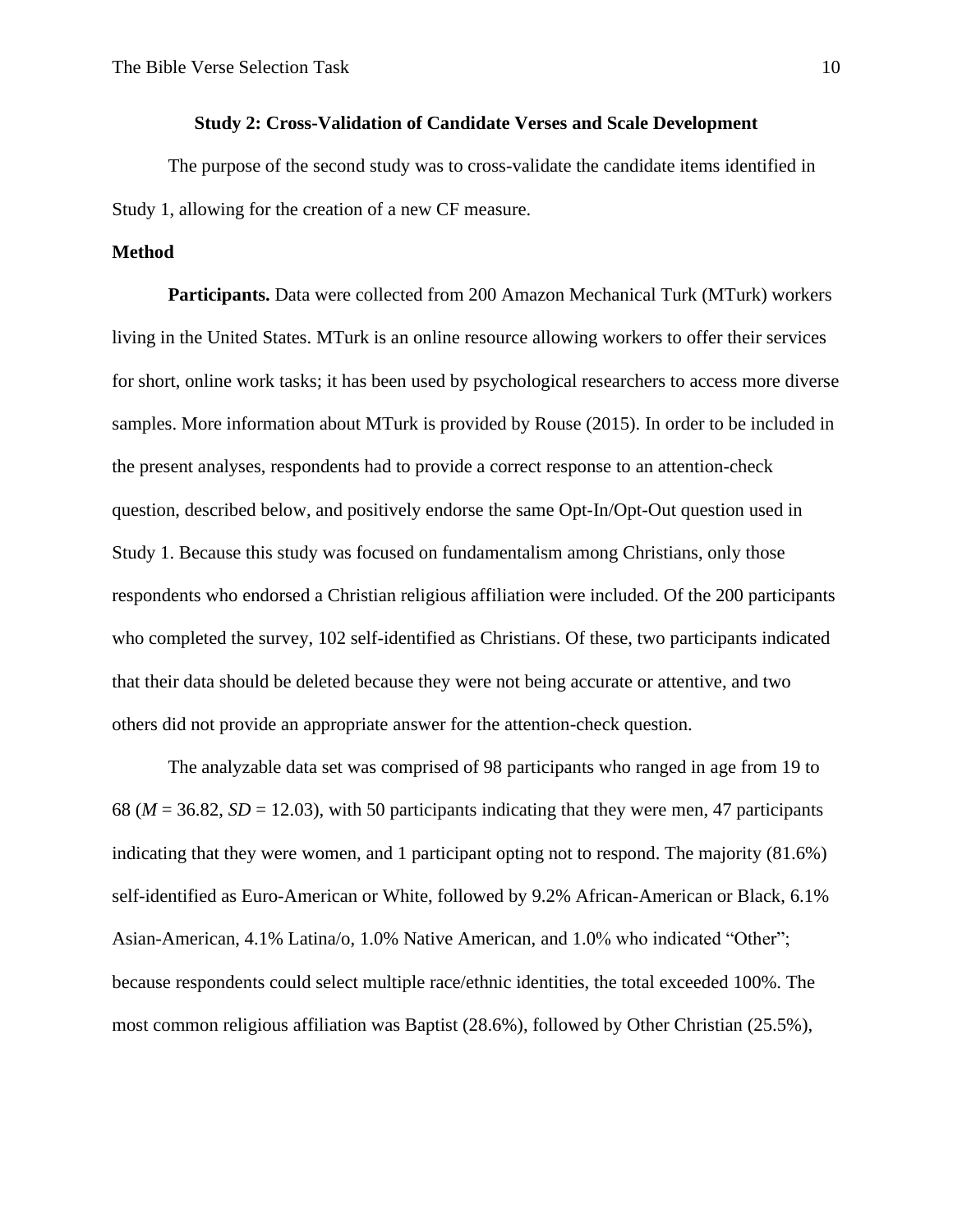# **Study 2: Cross-Validation of Candidate Verses and Scale Development**

The purpose of the second study was to cross-validate the candidate items identified in Study 1, allowing for the creation of a new CF measure.

# **Method**

**Participants.** Data were collected from 200 Amazon Mechanical Turk (MTurk) workers living in the United States. MTurk is an online resource allowing workers to offer their services for short, online work tasks; it has been used by psychological researchers to access more diverse samples. More information about MTurk is provided by Rouse (2015). In order to be included in the present analyses, respondents had to provide a correct response to an attention-check question, described below, and positively endorse the same Opt-In/Opt-Out question used in Study 1. Because this study was focused on fundamentalism among Christians, only those respondents who endorsed a Christian religious affiliation were included. Of the 200 participants who completed the survey, 102 self-identified as Christians. Of these, two participants indicated that their data should be deleted because they were not being accurate or attentive, and two others did not provide an appropriate answer for the attention-check question.

The analyzable data set was comprised of 98 participants who ranged in age from 19 to 68 ( $M = 36.82$ ,  $SD = 12.03$ ), with 50 participants indicating that they were men, 47 participants indicating that they were women, and 1 participant opting not to respond. The majority (81.6%) self-identified as Euro-American or White, followed by 9.2% African-American or Black, 6.1% Asian-American, 4.1% Latina/o, 1.0% Native American, and 1.0% who indicated "Other"; because respondents could select multiple race/ethnic identities, the total exceeded 100%. The most common religious affiliation was Baptist (28.6%), followed by Other Christian (25.5%),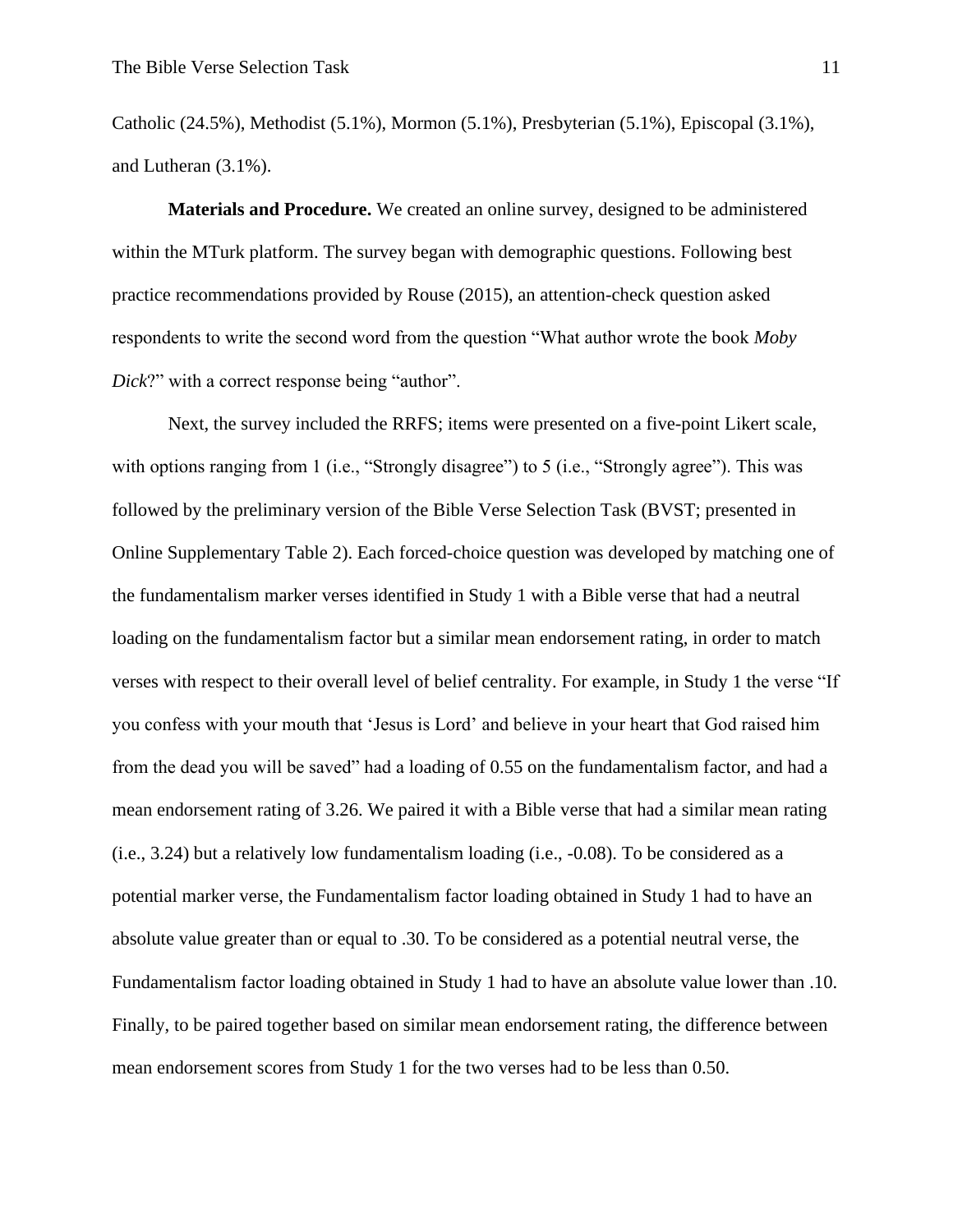Catholic (24.5%), Methodist (5.1%), Mormon (5.1%), Presbyterian (5.1%), Episcopal (3.1%), and Lutheran (3.1%).

**Materials and Procedure.** We created an online survey, designed to be administered within the MTurk platform. The survey began with demographic questions. Following best practice recommendations provided by Rouse (2015), an attention-check question asked respondents to write the second word from the question "What author wrote the book *Moby Dick*?" with a correct response being "author".

Next, the survey included the RRFS; items were presented on a five-point Likert scale, with options ranging from 1 (i.e., "Strongly disagree") to 5 (i.e., "Strongly agree"). This was followed by the preliminary version of the Bible Verse Selection Task (BVST; presented in Online Supplementary Table 2). Each forced-choice question was developed by matching one of the fundamentalism marker verses identified in Study 1 with a Bible verse that had a neutral loading on the fundamentalism factor but a similar mean endorsement rating, in order to match verses with respect to their overall level of belief centrality. For example, in Study 1 the verse "If you confess with your mouth that 'Jesus is Lord' and believe in your heart that God raised him from the dead you will be saved" had a loading of 0.55 on the fundamentalism factor, and had a mean endorsement rating of 3.26. We paired it with a Bible verse that had a similar mean rating (i.e., 3.24) but a relatively low fundamentalism loading (i.e., -0.08). To be considered as a potential marker verse, the Fundamentalism factor loading obtained in Study 1 had to have an absolute value greater than or equal to .30. To be considered as a potential neutral verse, the Fundamentalism factor loading obtained in Study 1 had to have an absolute value lower than .10. Finally, to be paired together based on similar mean endorsement rating, the difference between mean endorsement scores from Study 1 for the two verses had to be less than 0.50.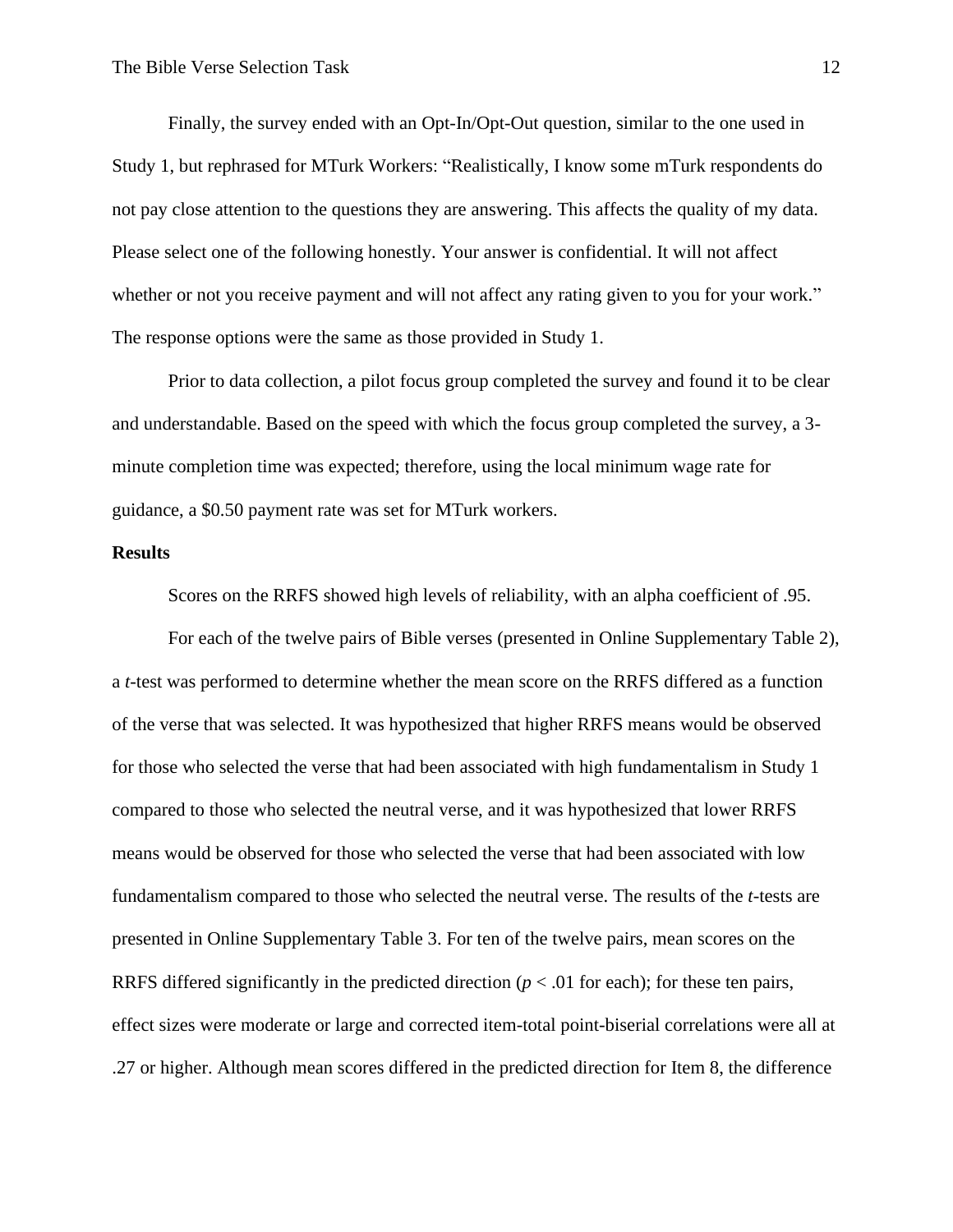Finally, the survey ended with an Opt-In/Opt-Out question, similar to the one used in Study 1, but rephrased for MTurk Workers: "Realistically, I know some mTurk respondents do not pay close attention to the questions they are answering. This affects the quality of my data. Please select one of the following honestly. Your answer is confidential. It will not affect whether or not you receive payment and will not affect any rating given to you for your work." The response options were the same as those provided in Study 1.

Prior to data collection, a pilot focus group completed the survey and found it to be clear and understandable. Based on the speed with which the focus group completed the survey, a 3 minute completion time was expected; therefore, using the local minimum wage rate for guidance, a \$0.50 payment rate was set for MTurk workers.

#### **Results**

Scores on the RRFS showed high levels of reliability, with an alpha coefficient of .95.

For each of the twelve pairs of Bible verses (presented in Online Supplementary Table 2), a *t*-test was performed to determine whether the mean score on the RRFS differed as a function of the verse that was selected. It was hypothesized that higher RRFS means would be observed for those who selected the verse that had been associated with high fundamentalism in Study 1 compared to those who selected the neutral verse, and it was hypothesized that lower RRFS means would be observed for those who selected the verse that had been associated with low fundamentalism compared to those who selected the neutral verse. The results of the *t*-tests are presented in Online Supplementary Table 3. For ten of the twelve pairs, mean scores on the RRFS differed significantly in the predicted direction  $(p < .01$  for each); for these ten pairs, effect sizes were moderate or large and corrected item-total point-biserial correlations were all at .27 or higher. Although mean scores differed in the predicted direction for Item 8, the difference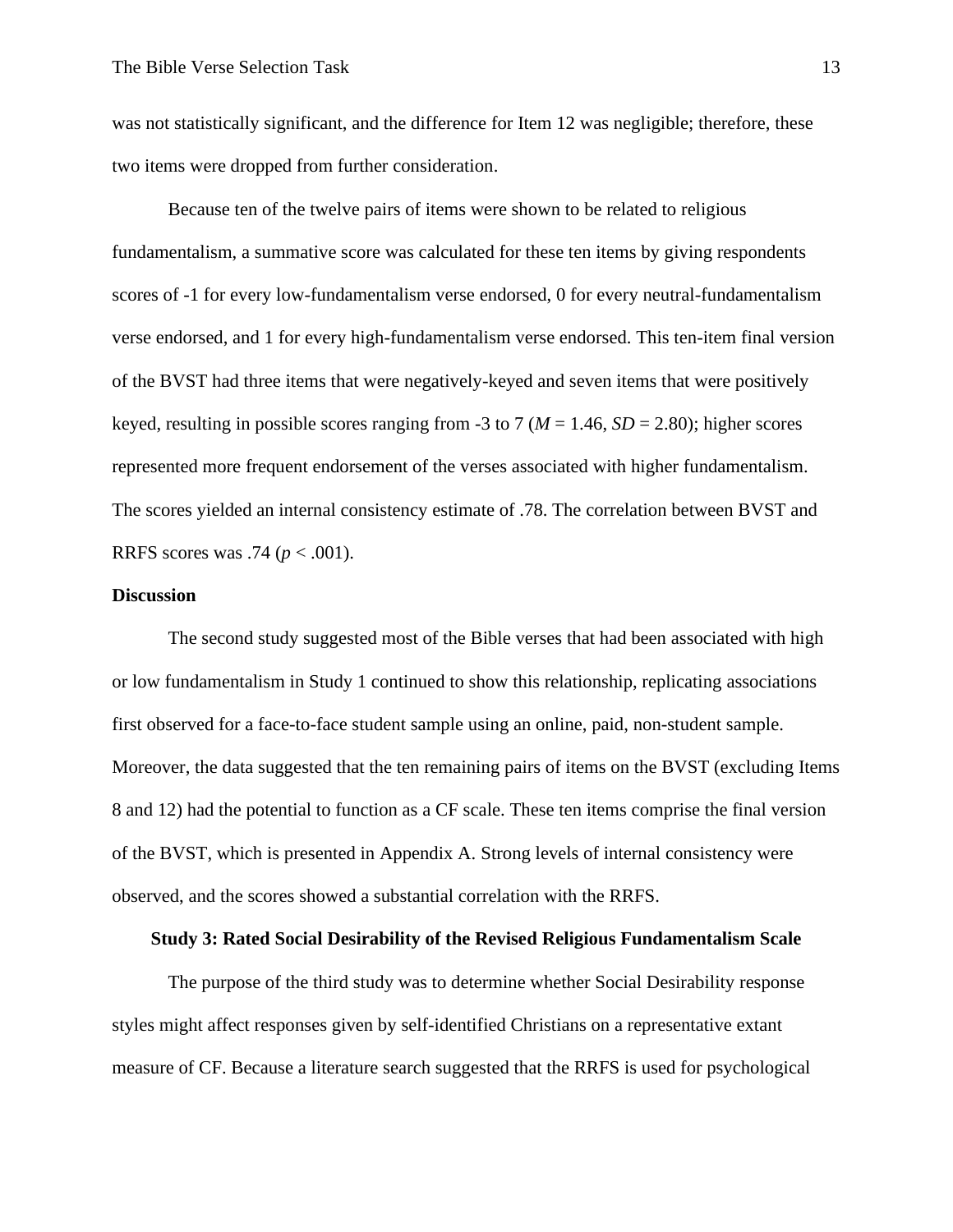was not statistically significant, and the difference for Item 12 was negligible; therefore, these two items were dropped from further consideration.

Because ten of the twelve pairs of items were shown to be related to religious fundamentalism, a summative score was calculated for these ten items by giving respondents scores of -1 for every low-fundamentalism verse endorsed, 0 for every neutral-fundamentalism verse endorsed, and 1 for every high-fundamentalism verse endorsed. This ten-item final version of the BVST had three items that were negatively-keyed and seven items that were positively keyed, resulting in possible scores ranging from -3 to 7 ( $M = 1.46$ ,  $SD = 2.80$ ); higher scores represented more frequent endorsement of the verses associated with higher fundamentalism. The scores yielded an internal consistency estimate of .78. The correlation between BVST and RRFS scores was .74 (*p* < .001).

## **Discussion**

The second study suggested most of the Bible verses that had been associated with high or low fundamentalism in Study 1 continued to show this relationship, replicating associations first observed for a face-to-face student sample using an online, paid, non-student sample. Moreover, the data suggested that the ten remaining pairs of items on the BVST (excluding Items 8 and 12) had the potential to function as a CF scale. These ten items comprise the final version of the BVST, which is presented in Appendix A. Strong levels of internal consistency were observed, and the scores showed a substantial correlation with the RRFS.

# **Study 3: Rated Social Desirability of the Revised Religious Fundamentalism Scale**

The purpose of the third study was to determine whether Social Desirability response styles might affect responses given by self-identified Christians on a representative extant measure of CF. Because a literature search suggested that the RRFS is used for psychological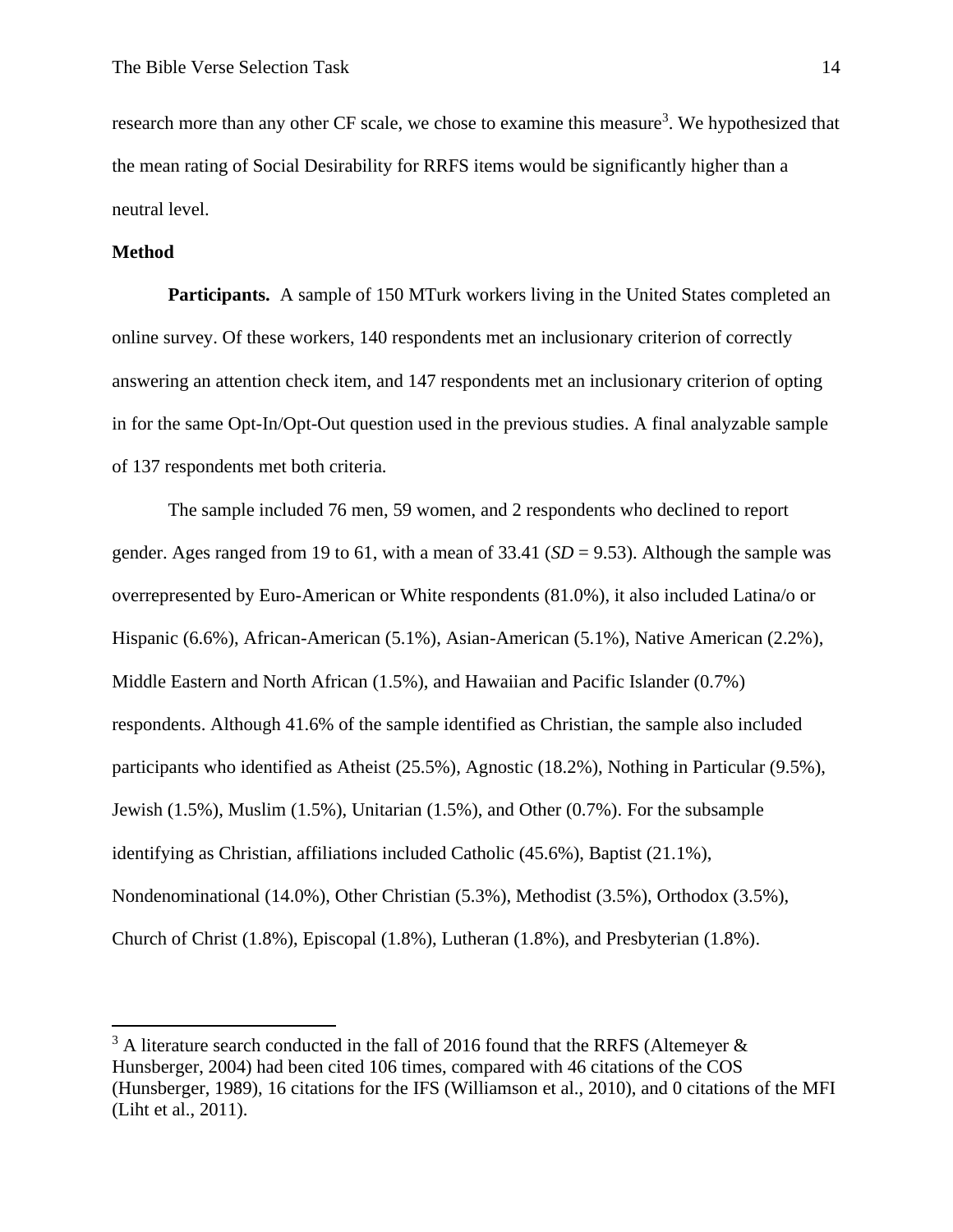research more than any other CF scale, we chose to examine this measure<sup>3</sup>. We hypothesized that the mean rating of Social Desirability for RRFS items would be significantly higher than a neutral level.

# **Method**

**Participants.** A sample of 150 MTurk workers living in the United States completed an online survey. Of these workers, 140 respondents met an inclusionary criterion of correctly answering an attention check item, and 147 respondents met an inclusionary criterion of opting in for the same Opt-In/Opt-Out question used in the previous studies. A final analyzable sample of 137 respondents met both criteria.

The sample included 76 men, 59 women, and 2 respondents who declined to report gender. Ages ranged from 19 to 61, with a mean of 33.41 (*SD* = 9.53). Although the sample was overrepresented by Euro-American or White respondents (81.0%), it also included Latina/o or Hispanic (6.6%), African-American (5.1%), Asian-American (5.1%), Native American (2.2%), Middle Eastern and North African (1.5%), and Hawaiian and Pacific Islander (0.7%) respondents. Although 41.6% of the sample identified as Christian, the sample also included participants who identified as Atheist (25.5%), Agnostic (18.2%), Nothing in Particular (9.5%), Jewish (1.5%), Muslim (1.5%), Unitarian (1.5%), and Other (0.7%). For the subsample identifying as Christian, affiliations included Catholic (45.6%), Baptist (21.1%), Nondenominational (14.0%), Other Christian (5.3%), Methodist (3.5%), Orthodox (3.5%), Church of Christ (1.8%), Episcopal (1.8%), Lutheran (1.8%), and Presbyterian (1.8%).

 $3$  A literature search conducted in the fall of 2016 found that the RRFS (Altemeyer  $\&$ Hunsberger, 2004) had been cited 106 times, compared with 46 citations of the COS (Hunsberger, 1989), 16 citations for the IFS (Williamson et al., 2010), and 0 citations of the MFI (Liht et al., 2011).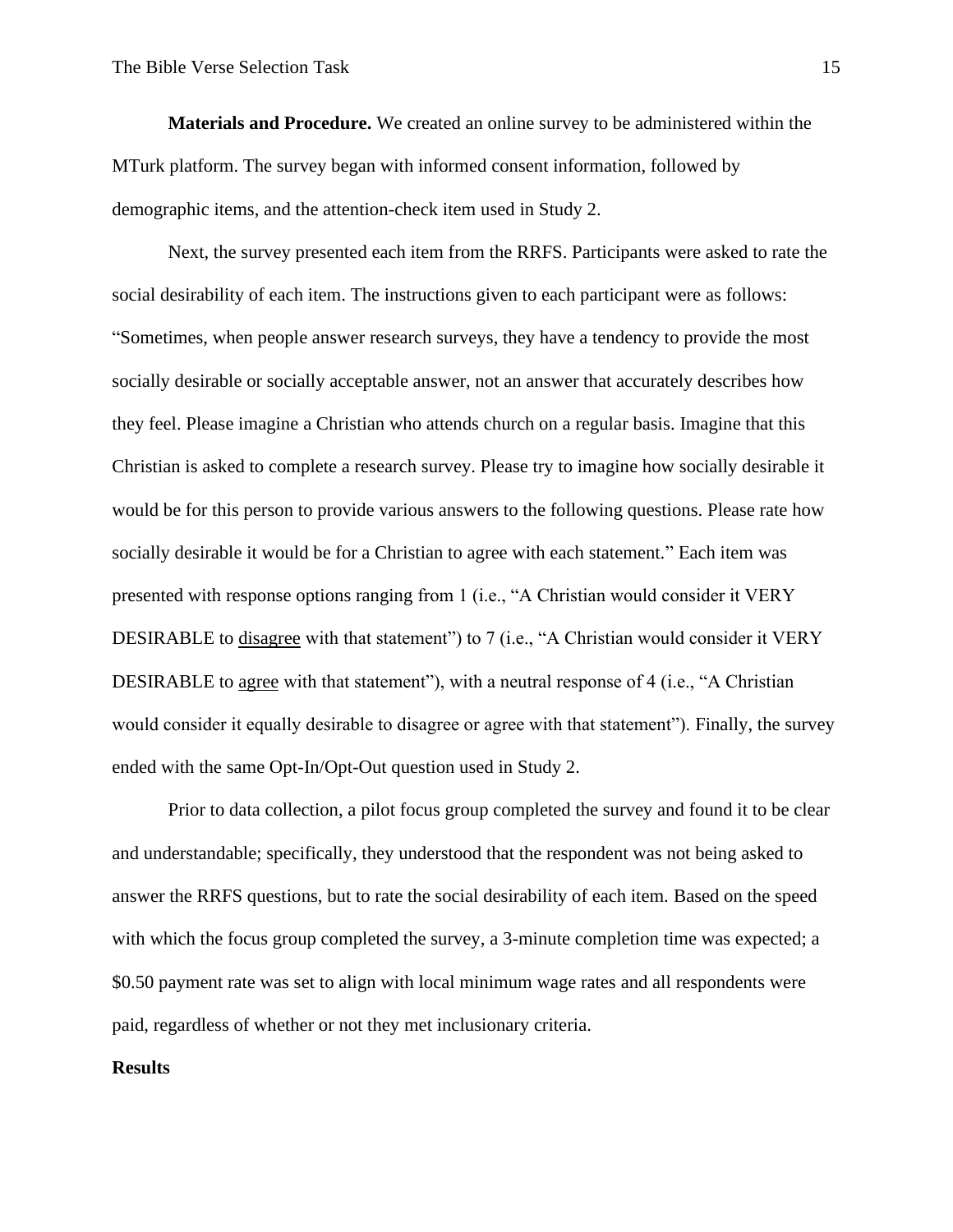**Materials and Procedure.** We created an online survey to be administered within the MTurk platform. The survey began with informed consent information, followed by demographic items, and the attention-check item used in Study 2.

Next, the survey presented each item from the RRFS. Participants were asked to rate the social desirability of each item. The instructions given to each participant were as follows: "Sometimes, when people answer research surveys, they have a tendency to provide the most socially desirable or socially acceptable answer, not an answer that accurately describes how they feel. Please imagine a Christian who attends church on a regular basis. Imagine that this Christian is asked to complete a research survey. Please try to imagine how socially desirable it would be for this person to provide various answers to the following questions. Please rate how socially desirable it would be for a Christian to agree with each statement." Each item was presented with response options ranging from 1 (i.e., "A Christian would consider it VERY DESIRABLE to disagree with that statement") to 7 (i.e., "A Christian would consider it VERY DESIRABLE to agree with that statement"), with a neutral response of 4 (i.e., "A Christian would consider it equally desirable to disagree or agree with that statement"). Finally, the survey ended with the same Opt-In/Opt-Out question used in Study 2.

Prior to data collection, a pilot focus group completed the survey and found it to be clear and understandable; specifically, they understood that the respondent was not being asked to answer the RRFS questions, but to rate the social desirability of each item. Based on the speed with which the focus group completed the survey, a 3-minute completion time was expected; a \$0.50 payment rate was set to align with local minimum wage rates and all respondents were paid, regardless of whether or not they met inclusionary criteria.

#### **Results**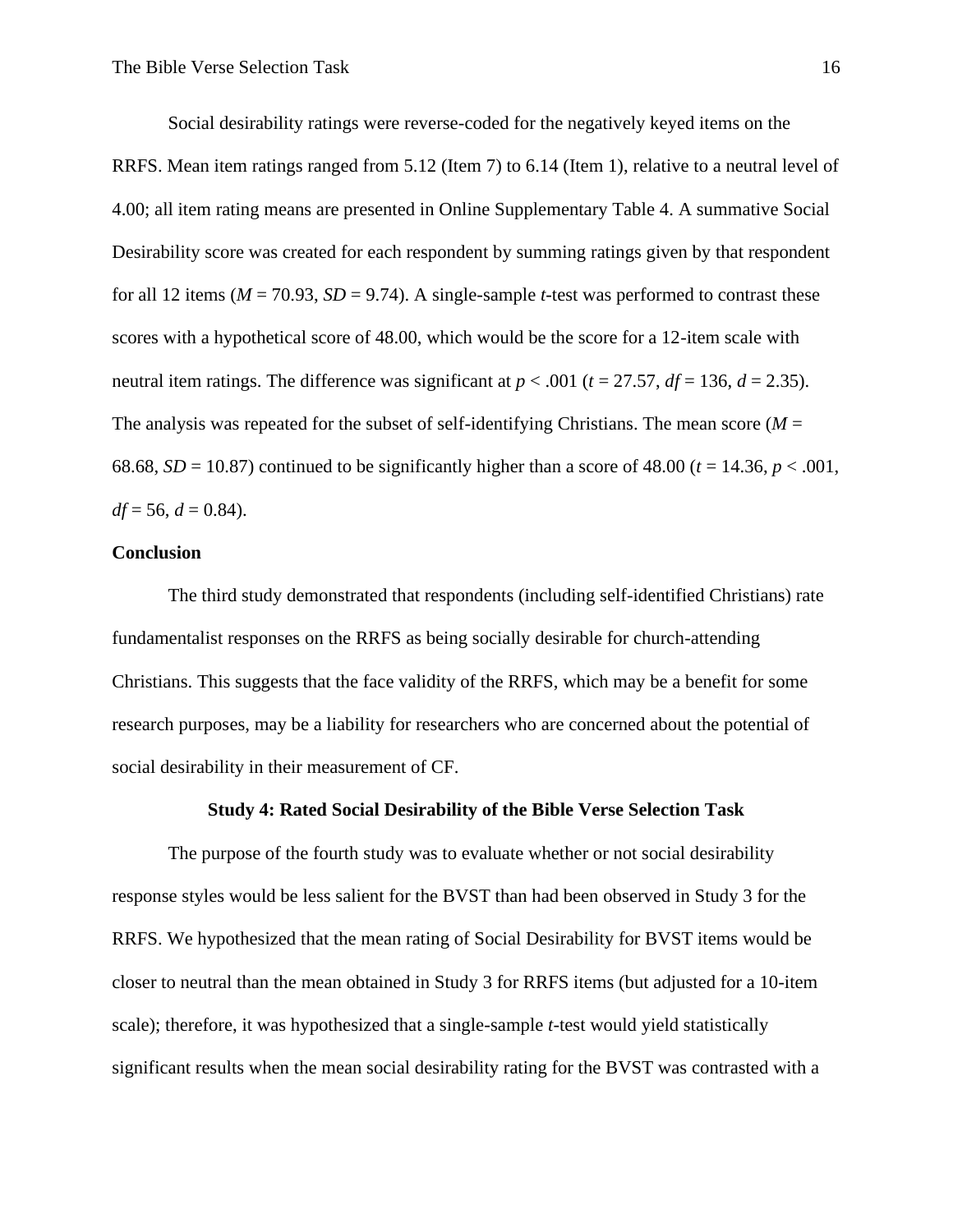Social desirability ratings were reverse-coded for the negatively keyed items on the RRFS. Mean item ratings ranged from 5.12 (Item 7) to 6.14 (Item 1), relative to a neutral level of 4.00; all item rating means are presented in Online Supplementary Table 4. A summative Social Desirability score was created for each respondent by summing ratings given by that respondent for all 12 items ( $M = 70.93$ ,  $SD = 9.74$ ). A single-sample *t*-test was performed to contrast these scores with a hypothetical score of 48.00, which would be the score for a 12-item scale with neutral item ratings. The difference was significant at  $p < .001$  ( $t = 27.57$ ,  $df = 136$ ,  $d = 2.35$ ). The analysis was repeated for the subset of self-identifying Christians. The mean score ( $M =$ 68.68,  $SD = 10.87$ ) continued to be significantly higher than a score of 48.00 ( $t = 14.36$ ,  $p < .001$ ,  $df = 56$ ,  $d = 0.84$ ).

## **Conclusion**

The third study demonstrated that respondents (including self-identified Christians) rate fundamentalist responses on the RRFS as being socially desirable for church-attending Christians. This suggests that the face validity of the RRFS, which may be a benefit for some research purposes, may be a liability for researchers who are concerned about the potential of social desirability in their measurement of CF.

#### **Study 4: Rated Social Desirability of the Bible Verse Selection Task**

The purpose of the fourth study was to evaluate whether or not social desirability response styles would be less salient for the BVST than had been observed in Study 3 for the RRFS. We hypothesized that the mean rating of Social Desirability for BVST items would be closer to neutral than the mean obtained in Study 3 for RRFS items (but adjusted for a 10-item scale); therefore, it was hypothesized that a single-sample *t*-test would yield statistically significant results when the mean social desirability rating for the BVST was contrasted with a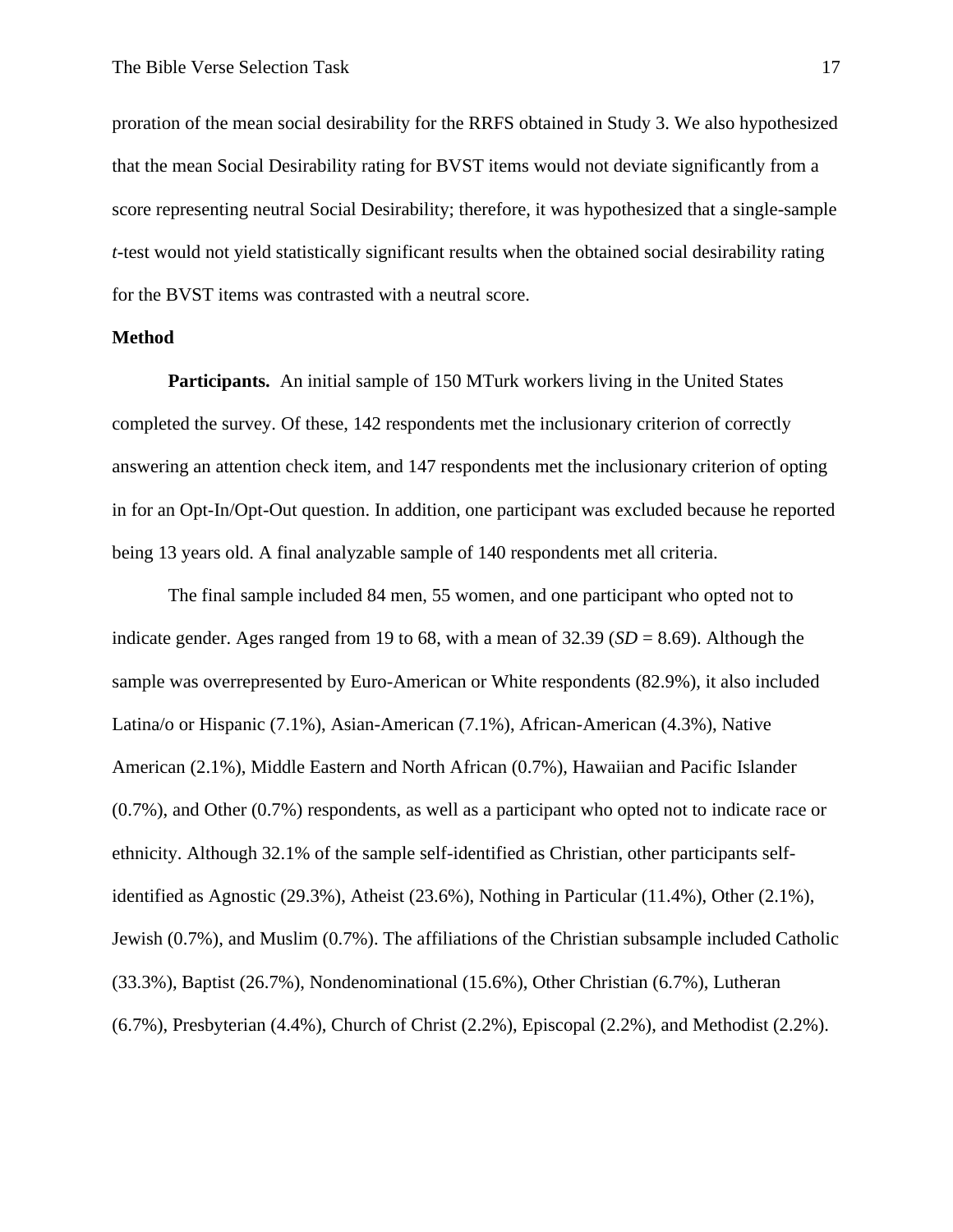proration of the mean social desirability for the RRFS obtained in Study 3. We also hypothesized that the mean Social Desirability rating for BVST items would not deviate significantly from a score representing neutral Social Desirability; therefore, it was hypothesized that a single-sample *t*-test would not yield statistically significant results when the obtained social desirability rating for the BVST items was contrasted with a neutral score.

#### **Method**

**Participants.** An initial sample of 150 MTurk workers living in the United States completed the survey. Of these, 142 respondents met the inclusionary criterion of correctly answering an attention check item, and 147 respondents met the inclusionary criterion of opting in for an Opt-In/Opt-Out question. In addition, one participant was excluded because he reported being 13 years old. A final analyzable sample of 140 respondents met all criteria.

The final sample included 84 men, 55 women, and one participant who opted not to indicate gender. Ages ranged from 19 to 68, with a mean of 32.39 (*SD* = 8.69). Although the sample was overrepresented by Euro-American or White respondents (82.9%), it also included Latina/o or Hispanic (7.1%), Asian-American (7.1%), African-American (4.3%), Native American (2.1%), Middle Eastern and North African (0.7%), Hawaiian and Pacific Islander (0.7%), and Other (0.7%) respondents, as well as a participant who opted not to indicate race or ethnicity. Although 32.1% of the sample self-identified as Christian, other participants selfidentified as Agnostic (29.3%), Atheist (23.6%), Nothing in Particular (11.4%), Other (2.1%), Jewish (0.7%), and Muslim (0.7%). The affiliations of the Christian subsample included Catholic (33.3%), Baptist (26.7%), Nondenominational (15.6%), Other Christian (6.7%), Lutheran (6.7%), Presbyterian (4.4%), Church of Christ (2.2%), Episcopal (2.2%), and Methodist (2.2%).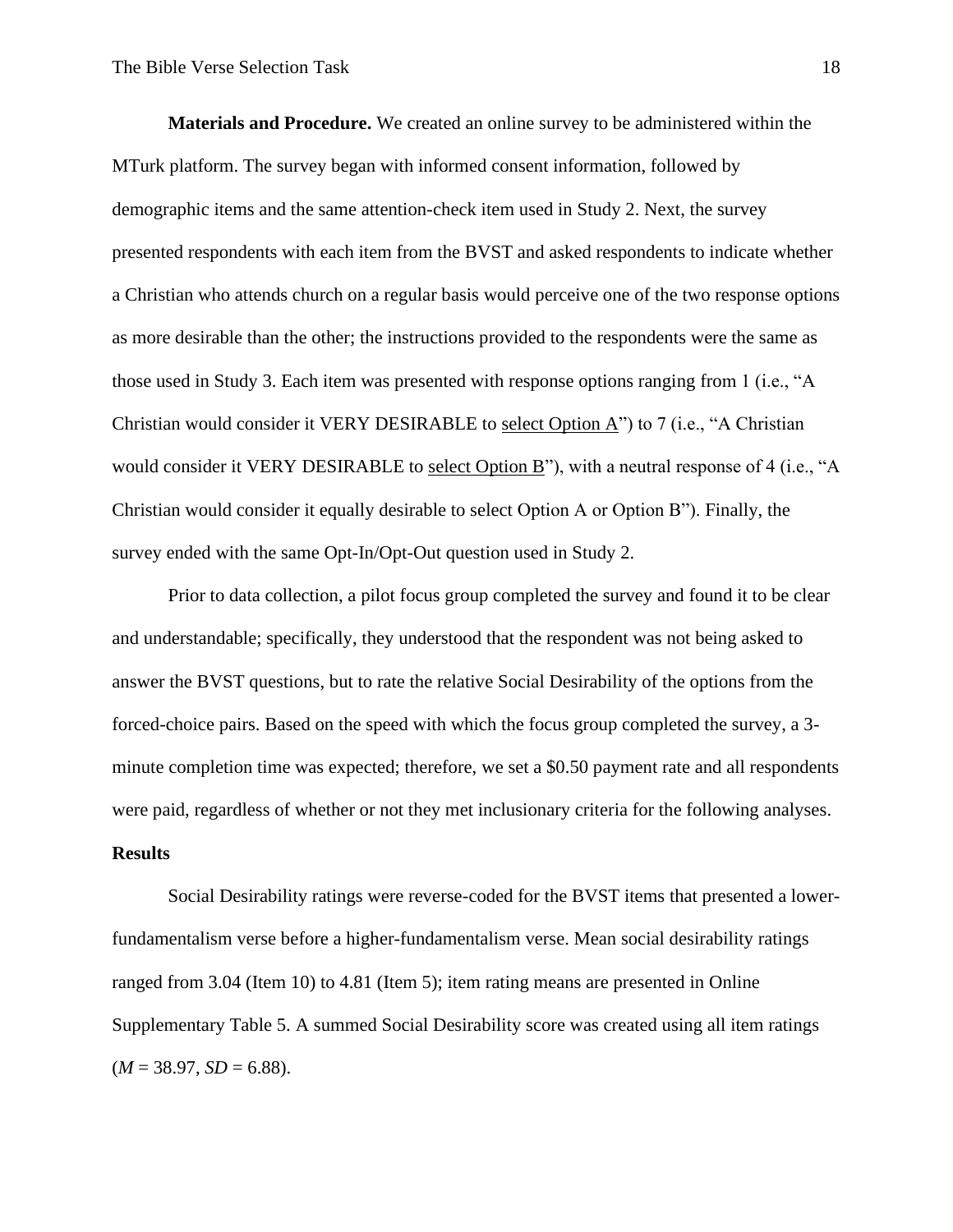**Materials and Procedure.** We created an online survey to be administered within the MTurk platform. The survey began with informed consent information, followed by demographic items and the same attention-check item used in Study 2. Next, the survey presented respondents with each item from the BVST and asked respondents to indicate whether a Christian who attends church on a regular basis would perceive one of the two response options as more desirable than the other; the instructions provided to the respondents were the same as those used in Study 3. Each item was presented with response options ranging from 1 (i.e., "A Christian would consider it VERY DESIRABLE to select Option A") to 7 (i.e., "A Christian would consider it VERY DESIRABLE to select Option B"), with a neutral response of 4 (i.e., "A Christian would consider it equally desirable to select Option A or Option B"). Finally, the survey ended with the same Opt-In/Opt-Out question used in Study 2.

Prior to data collection, a pilot focus group completed the survey and found it to be clear and understandable; specifically, they understood that the respondent was not being asked to answer the BVST questions, but to rate the relative Social Desirability of the options from the forced-choice pairs. Based on the speed with which the focus group completed the survey, a 3 minute completion time was expected; therefore, we set a \$0.50 payment rate and all respondents were paid, regardless of whether or not they met inclusionary criteria for the following analyses. **Results**

Social Desirability ratings were reverse-coded for the BVST items that presented a lowerfundamentalism verse before a higher-fundamentalism verse. Mean social desirability ratings ranged from 3.04 (Item 10) to 4.81 (Item 5); item rating means are presented in Online Supplementary Table 5. A summed Social Desirability score was created using all item ratings  $(M = 38.97, SD = 6.88).$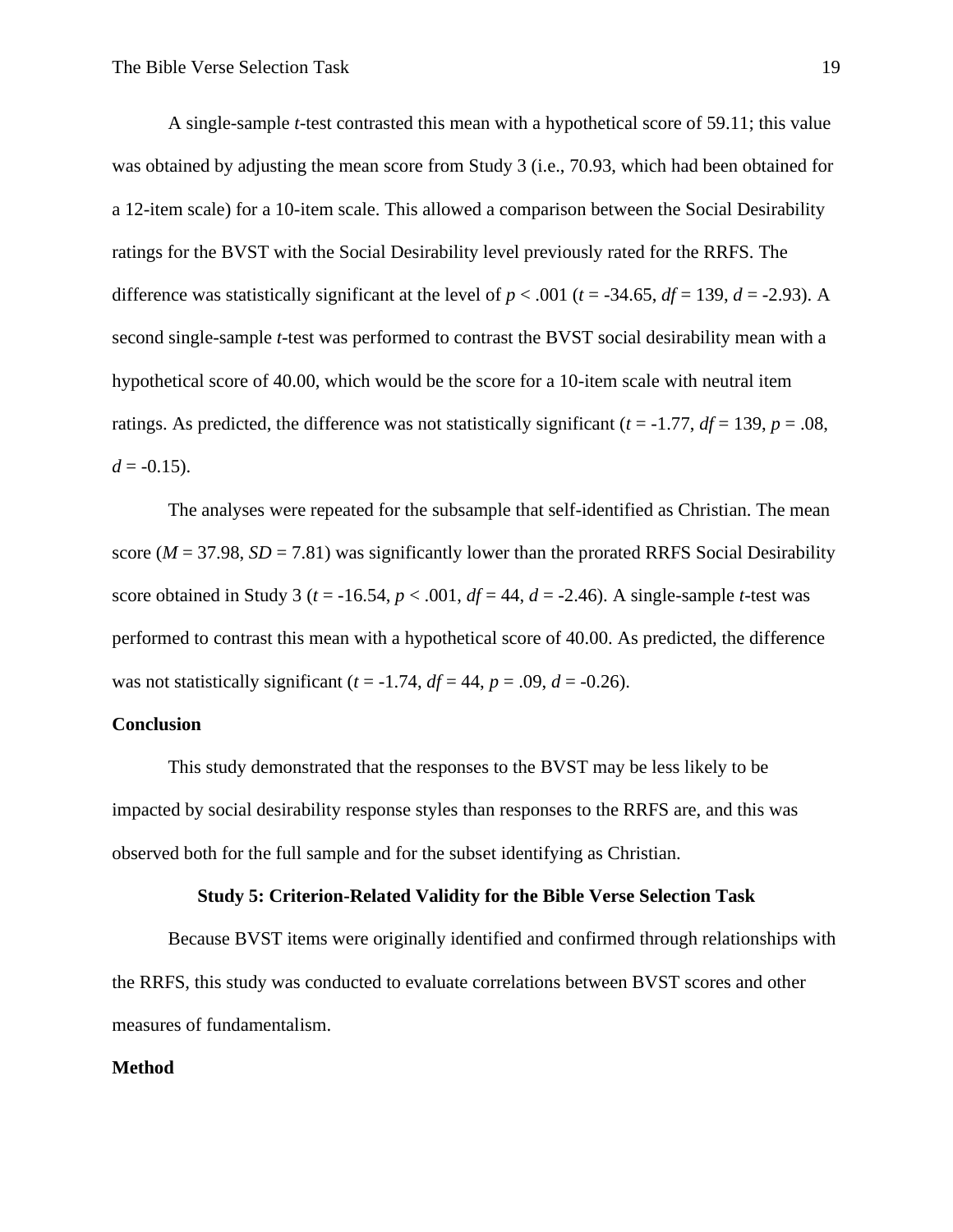A single-sample *t*-test contrasted this mean with a hypothetical score of 59.11; this value was obtained by adjusting the mean score from Study 3 (i.e., 70.93, which had been obtained for a 12-item scale) for a 10-item scale. This allowed a comparison between the Social Desirability ratings for the BVST with the Social Desirability level previously rated for the RRFS. The difference was statistically significant at the level of  $p < .001$  ( $t = .34.65$ ,  $df = 139$ ,  $d = -2.93$ ). A second single-sample *t*-test was performed to contrast the BVST social desirability mean with a hypothetical score of 40.00, which would be the score for a 10-item scale with neutral item ratings. As predicted, the difference was not statistically significant ( $t = -1.77$ ,  $df = 139$ ,  $p = .08$ ,  $d = -0.15$ .

The analyses were repeated for the subsample that self-identified as Christian. The mean score ( $M = 37.98$ ,  $SD = 7.81$ ) was significantly lower than the prorated RRFS Social Desirability score obtained in Study 3 ( $t = -16.54$ ,  $p < .001$ ,  $df = 44$ ,  $d = -2.46$ ). A single-sample *t*-test was performed to contrast this mean with a hypothetical score of 40.00. As predicted, the difference was not statistically significant  $(t = -1.74, df = 44, p = .09, d = -0.26)$ .

## **Conclusion**

This study demonstrated that the responses to the BVST may be less likely to be impacted by social desirability response styles than responses to the RRFS are, and this was observed both for the full sample and for the subset identifying as Christian.

#### **Study 5: Criterion-Related Validity for the Bible Verse Selection Task**

Because BVST items were originally identified and confirmed through relationships with the RRFS, this study was conducted to evaluate correlations between BVST scores and other measures of fundamentalism.

## **Method**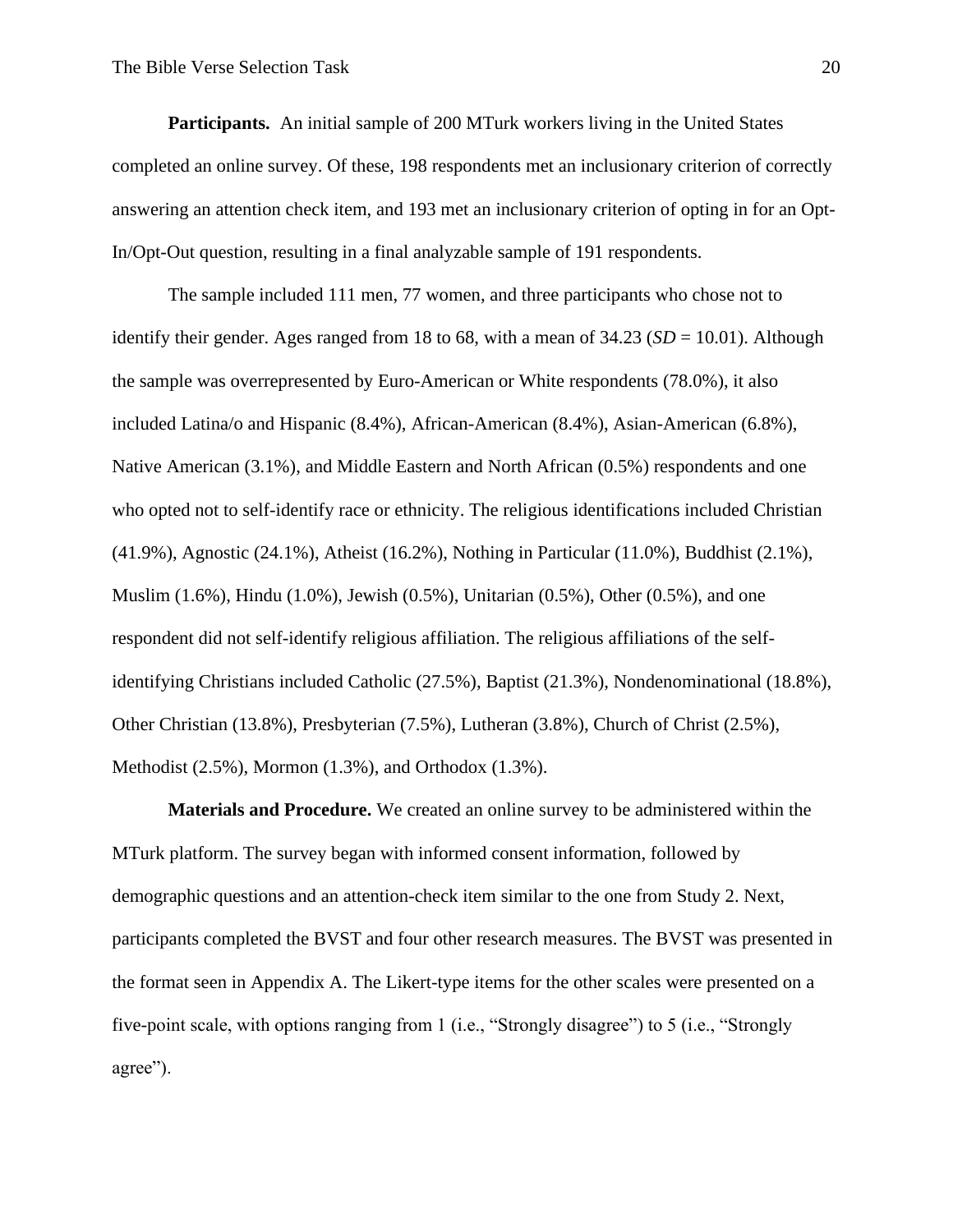**Participants.** An initial sample of 200 MTurk workers living in the United States completed an online survey. Of these, 198 respondents met an inclusionary criterion of correctly answering an attention check item, and 193 met an inclusionary criterion of opting in for an Opt-In/Opt-Out question, resulting in a final analyzable sample of 191 respondents.

The sample included 111 men, 77 women, and three participants who chose not to identify their gender. Ages ranged from 18 to 68, with a mean of  $34.23$  (*SD* = 10.01). Although the sample was overrepresented by Euro-American or White respondents (78.0%), it also included Latina/o and Hispanic (8.4%), African-American (8.4%), Asian-American (6.8%), Native American (3.1%), and Middle Eastern and North African (0.5%) respondents and one who opted not to self-identify race or ethnicity. The religious identifications included Christian (41.9%), Agnostic (24.1%), Atheist (16.2%), Nothing in Particular (11.0%), Buddhist (2.1%), Muslim (1.6%), Hindu (1.0%), Jewish (0.5%), Unitarian (0.5%), Other (0.5%), and one respondent did not self-identify religious affiliation. The religious affiliations of the selfidentifying Christians included Catholic (27.5%), Baptist (21.3%), Nondenominational (18.8%), Other Christian (13.8%), Presbyterian (7.5%), Lutheran (3.8%), Church of Christ (2.5%), Methodist (2.5%), Mormon (1.3%), and Orthodox (1.3%).

**Materials and Procedure.** We created an online survey to be administered within the MTurk platform. The survey began with informed consent information, followed by demographic questions and an attention-check item similar to the one from Study 2. Next, participants completed the BVST and four other research measures. The BVST was presented in the format seen in Appendix A. The Likert-type items for the other scales were presented on a five-point scale, with options ranging from 1 (i.e., "Strongly disagree") to 5 (i.e., "Strongly agree").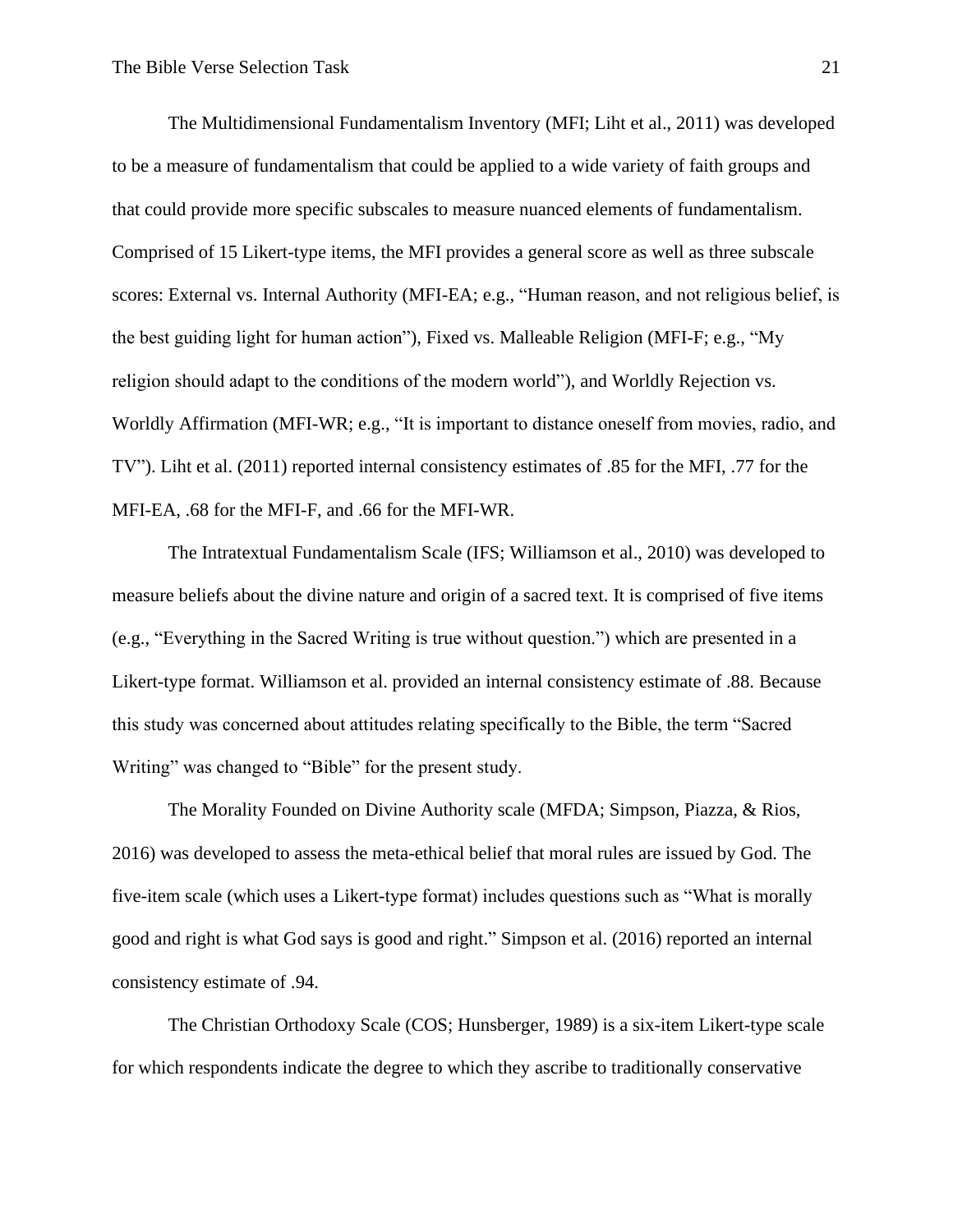The Multidimensional Fundamentalism Inventory (MFI; Liht et al., 2011) was developed to be a measure of fundamentalism that could be applied to a wide variety of faith groups and that could provide more specific subscales to measure nuanced elements of fundamentalism. Comprised of 15 Likert-type items, the MFI provides a general score as well as three subscale scores: External vs. Internal Authority (MFI-EA; e.g., "Human reason, and not religious belief, is the best guiding light for human action"), Fixed vs. Malleable Religion (MFI-F; e.g., "My religion should adapt to the conditions of the modern world"), and Worldly Rejection vs. Worldly Affirmation (MFI-WR; e.g., "It is important to distance oneself from movies, radio, and TV"). Liht et al. (2011) reported internal consistency estimates of .85 for the MFI, .77 for the MFI-EA, .68 for the MFI-F, and .66 for the MFI-WR.

The Intratextual Fundamentalism Scale (IFS; Williamson et al., 2010) was developed to measure beliefs about the divine nature and origin of a sacred text. It is comprised of five items (e.g., "Everything in the Sacred Writing is true without question.") which are presented in a Likert-type format. Williamson et al. provided an internal consistency estimate of .88. Because this study was concerned about attitudes relating specifically to the Bible, the term "Sacred Writing" was changed to "Bible" for the present study.

The Morality Founded on Divine Authority scale (MFDA; Simpson, Piazza, & Rios, 2016) was developed to assess the meta-ethical belief that moral rules are issued by God. The five-item scale (which uses a Likert-type format) includes questions such as "What is morally good and right is what God says is good and right." Simpson et al. (2016) reported an internal consistency estimate of .94.

The Christian Orthodoxy Scale (COS; Hunsberger, 1989) is a six-item Likert-type scale for which respondents indicate the degree to which they ascribe to traditionally conservative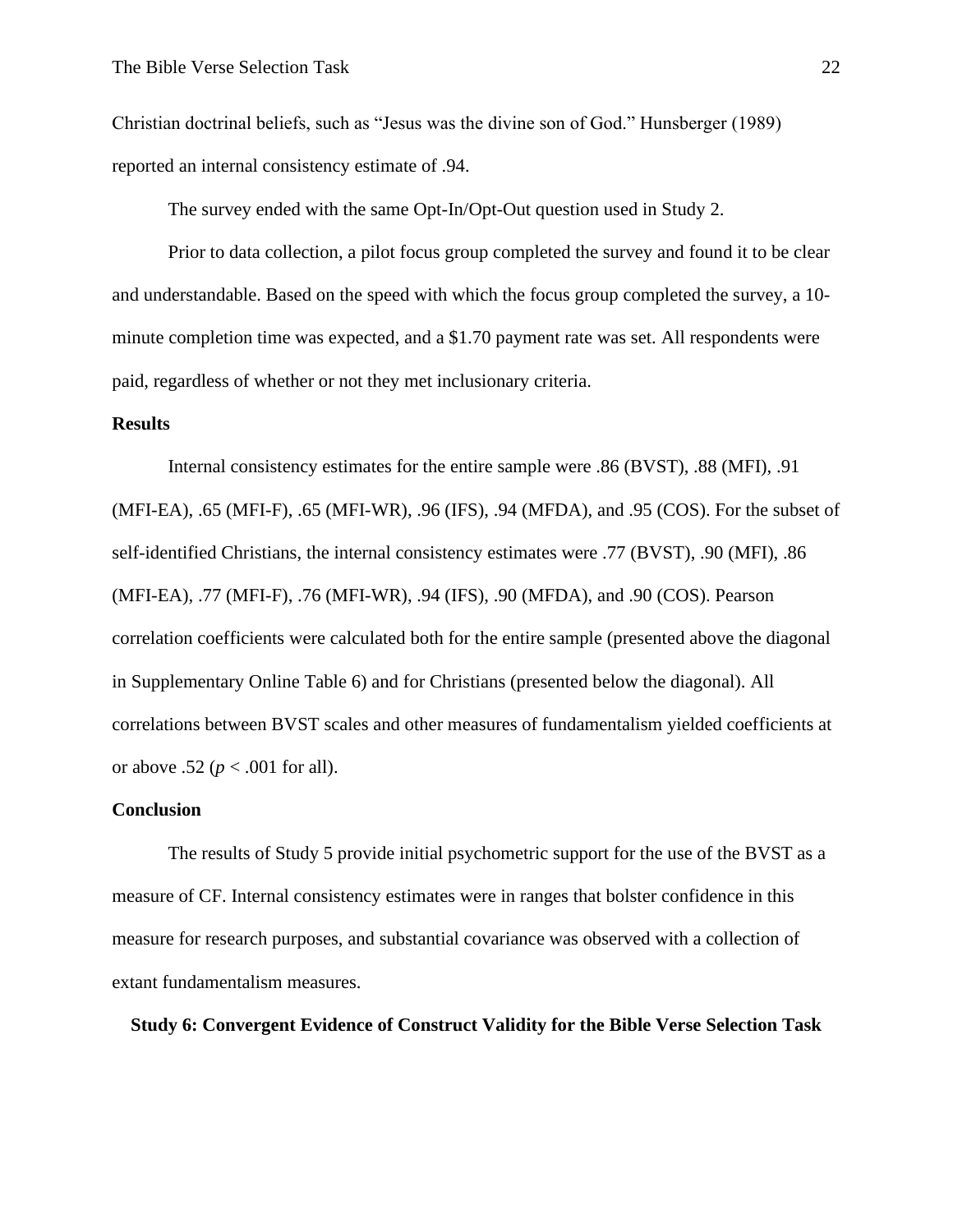Christian doctrinal beliefs, such as "Jesus was the divine son of God." Hunsberger (1989) reported an internal consistency estimate of .94.

The survey ended with the same Opt-In/Opt-Out question used in Study 2.

Prior to data collection, a pilot focus group completed the survey and found it to be clear and understandable. Based on the speed with which the focus group completed the survey, a 10 minute completion time was expected, and a \$1.70 payment rate was set. All respondents were paid, regardless of whether or not they met inclusionary criteria.

#### **Results**

Internal consistency estimates for the entire sample were .86 (BVST), .88 (MFI), .91 (MFI-EA), .65 (MFI-F), .65 (MFI-WR), .96 (IFS), .94 (MFDA), and .95 (COS). For the subset of self-identified Christians, the internal consistency estimates were .77 (BVST), .90 (MFI), .86 (MFI-EA), .77 (MFI-F), .76 (MFI-WR), .94 (IFS), .90 (MFDA), and .90 (COS). Pearson correlation coefficients were calculated both for the entire sample (presented above the diagonal in Supplementary Online Table 6) and for Christians (presented below the diagonal). All correlations between BVST scales and other measures of fundamentalism yielded coefficients at or above .52 ( $p < .001$  for all).

# **Conclusion**

The results of Study 5 provide initial psychometric support for the use of the BVST as a measure of CF. Internal consistency estimates were in ranges that bolster confidence in this measure for research purposes, and substantial covariance was observed with a collection of extant fundamentalism measures.

**Study 6: Convergent Evidence of Construct Validity for the Bible Verse Selection Task**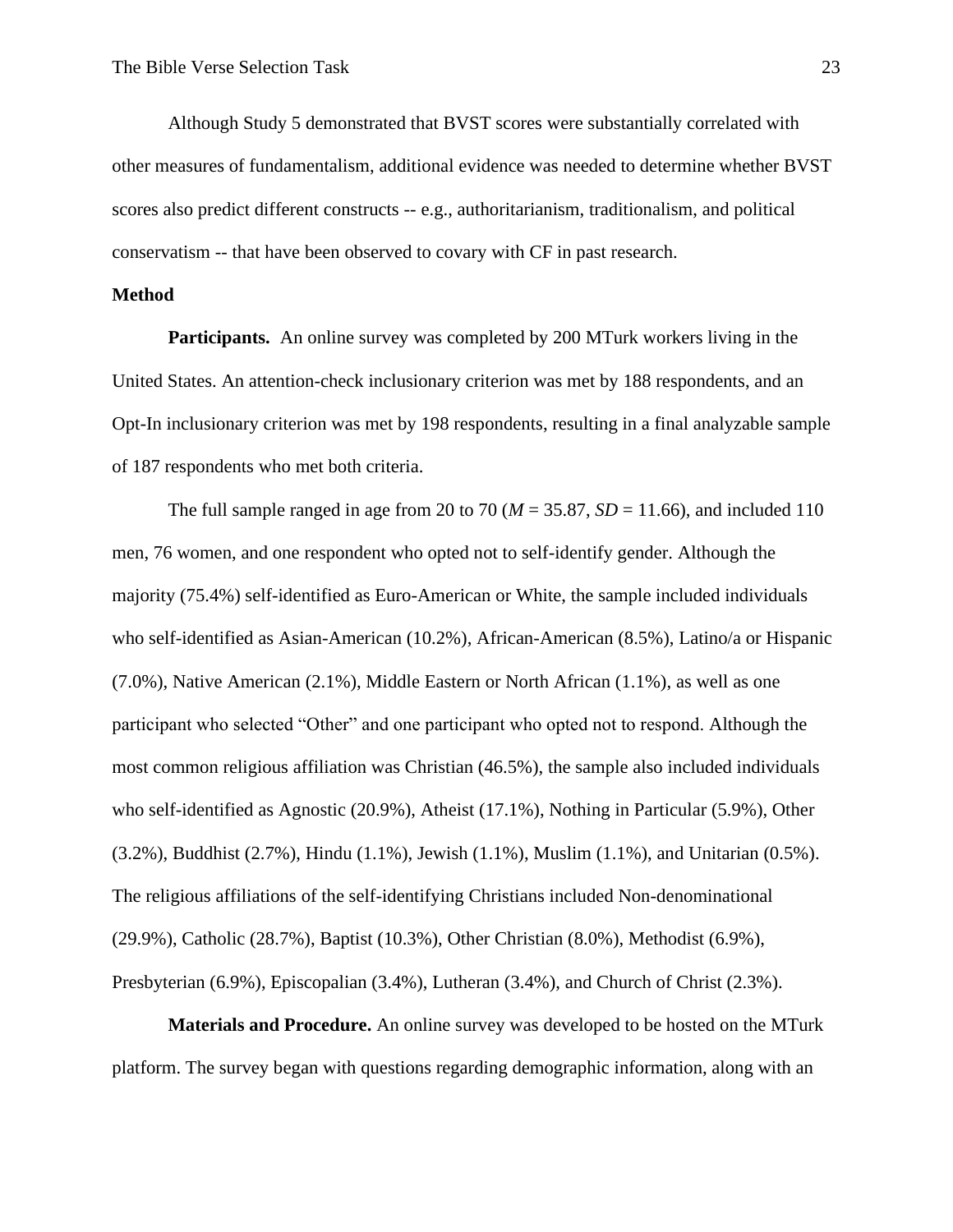Although Study 5 demonstrated that BVST scores were substantially correlated with other measures of fundamentalism, additional evidence was needed to determine whether BVST scores also predict different constructs -- e.g., authoritarianism, traditionalism, and political conservatism -- that have been observed to covary with CF in past research.

## **Method**

**Participants.** An online survey was completed by 200 MTurk workers living in the United States. An attention-check inclusionary criterion was met by 188 respondents, and an Opt-In inclusionary criterion was met by 198 respondents, resulting in a final analyzable sample of 187 respondents who met both criteria.

The full sample ranged in age from 20 to 70 ( $M = 35.87$ ,  $SD = 11.66$ ), and included 110 men, 76 women, and one respondent who opted not to self-identify gender. Although the majority (75.4%) self-identified as Euro-American or White, the sample included individuals who self-identified as Asian-American (10.2%), African-American (8.5%), Latino/a or Hispanic (7.0%), Native American (2.1%), Middle Eastern or North African (1.1%), as well as one participant who selected "Other" and one participant who opted not to respond. Although the most common religious affiliation was Christian (46.5%), the sample also included individuals who self-identified as Agnostic (20.9%), Atheist (17.1%), Nothing in Particular (5.9%), Other (3.2%), Buddhist (2.7%), Hindu (1.1%), Jewish (1.1%), Muslim (1.1%), and Unitarian (0.5%). The religious affiliations of the self-identifying Christians included Non-denominational (29.9%), Catholic (28.7%), Baptist (10.3%), Other Christian (8.0%), Methodist (6.9%), Presbyterian (6.9%), Episcopalian (3.4%), Lutheran (3.4%), and Church of Christ (2.3%).

**Materials and Procedure.** An online survey was developed to be hosted on the MTurk platform. The survey began with questions regarding demographic information, along with an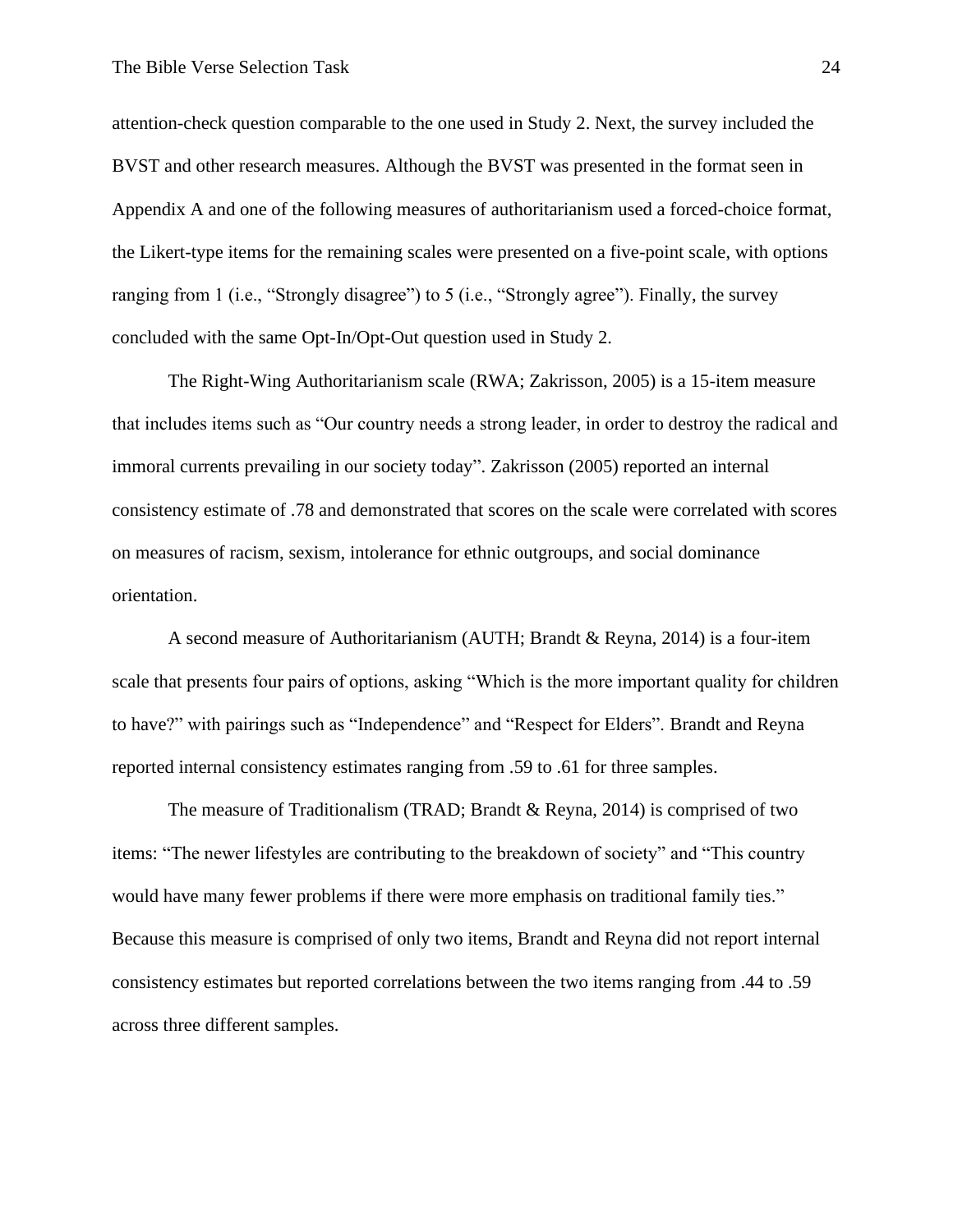attention-check question comparable to the one used in Study 2. Next, the survey included the BVST and other research measures. Although the BVST was presented in the format seen in Appendix A and one of the following measures of authoritarianism used a forced-choice format, the Likert-type items for the remaining scales were presented on a five-point scale, with options ranging from 1 (i.e., "Strongly disagree") to 5 (i.e., "Strongly agree"). Finally, the survey concluded with the same Opt-In/Opt-Out question used in Study 2.

The Right-Wing Authoritarianism scale (RWA; Zakrisson, 2005) is a 15-item measure that includes items such as "Our country needs a strong leader, in order to destroy the radical and immoral currents prevailing in our society today". Zakrisson (2005) reported an internal consistency estimate of .78 and demonstrated that scores on the scale were correlated with scores on measures of racism, sexism, intolerance for ethnic outgroups, and social dominance orientation.

A second measure of Authoritarianism (AUTH; Brandt & Reyna, 2014) is a four-item scale that presents four pairs of options, asking "Which is the more important quality for children to have?" with pairings such as "Independence" and "Respect for Elders". Brandt and Reyna reported internal consistency estimates ranging from .59 to .61 for three samples.

The measure of Traditionalism (TRAD; Brandt & Reyna, 2014) is comprised of two items: "The newer lifestyles are contributing to the breakdown of society" and "This country would have many fewer problems if there were more emphasis on traditional family ties." Because this measure is comprised of only two items, Brandt and Reyna did not report internal consistency estimates but reported correlations between the two items ranging from .44 to .59 across three different samples.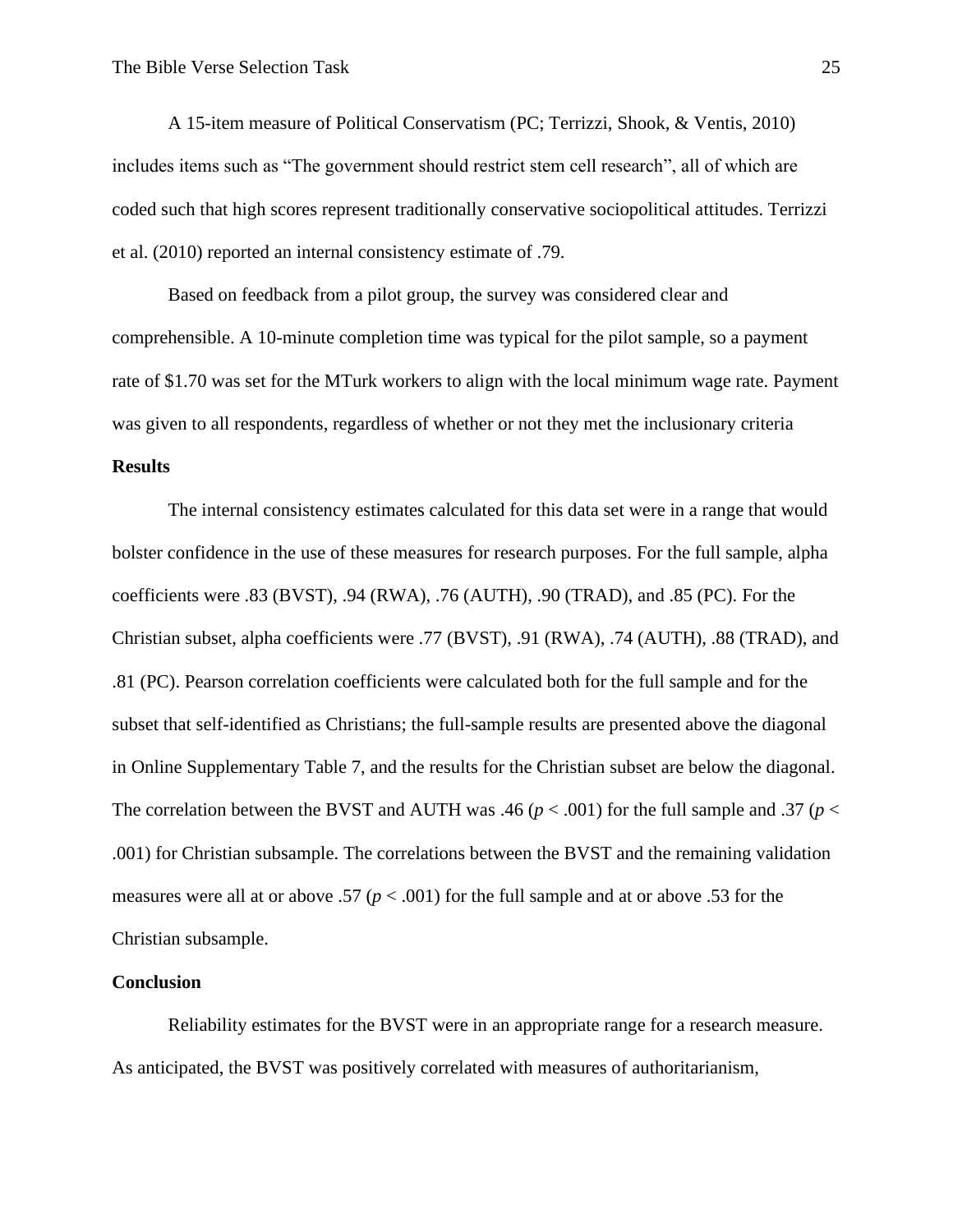A 15-item measure of Political Conservatism (PC; Terrizzi, Shook, & Ventis, 2010) includes items such as "The government should restrict stem cell research", all of which are coded such that high scores represent traditionally conservative sociopolitical attitudes. Terrizzi et al. (2010) reported an internal consistency estimate of .79.

Based on feedback from a pilot group, the survey was considered clear and comprehensible. A 10-minute completion time was typical for the pilot sample, so a payment rate of \$1.70 was set for the MTurk workers to align with the local minimum wage rate. Payment was given to all respondents, regardless of whether or not they met the inclusionary criteria

# **Results**

The internal consistency estimates calculated for this data set were in a range that would bolster confidence in the use of these measures for research purposes. For the full sample, alpha coefficients were .83 (BVST), .94 (RWA), .76 (AUTH), .90 (TRAD), and .85 (PC). For the Christian subset, alpha coefficients were .77 (BVST), .91 (RWA), .74 (AUTH), .88 (TRAD), and .81 (PC). Pearson correlation coefficients were calculated both for the full sample and for the subset that self-identified as Christians; the full-sample results are presented above the diagonal in Online Supplementary Table 7, and the results for the Christian subset are below the diagonal. The correlation between the BVST and AUTH was .46 ( $p < .001$ ) for the full sample and .37 ( $p <$ .001) for Christian subsample. The correlations between the BVST and the remaining validation measures were all at or above .57 (*p* < .001) for the full sample and at or above .53 for the Christian subsample.

#### **Conclusion**

Reliability estimates for the BVST were in an appropriate range for a research measure. As anticipated, the BVST was positively correlated with measures of authoritarianism,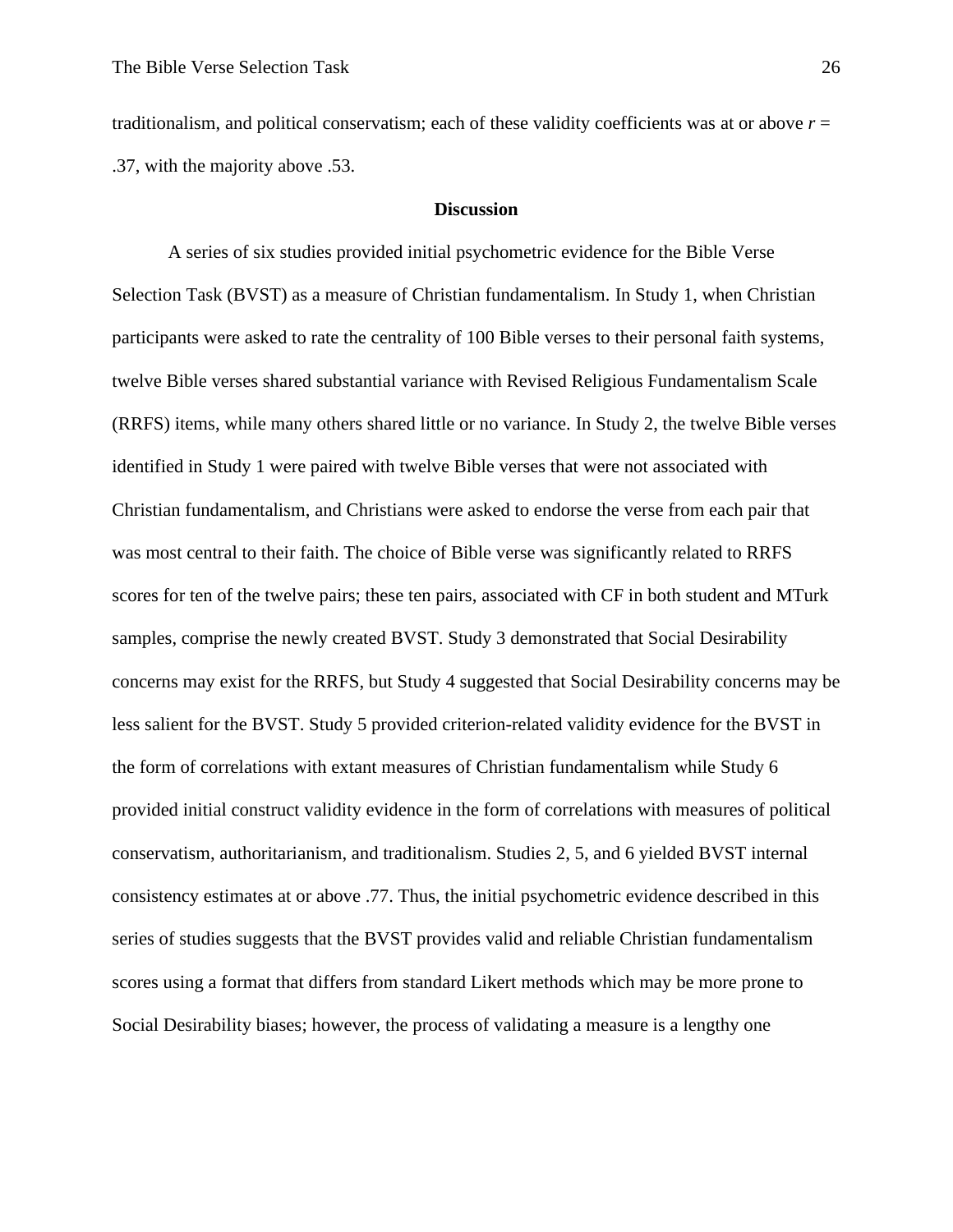traditionalism, and political conservatism; each of these validity coefficients was at or above *r* = .37, with the majority above .53.

## **Discussion**

A series of six studies provided initial psychometric evidence for the Bible Verse Selection Task (BVST) as a measure of Christian fundamentalism. In Study 1, when Christian participants were asked to rate the centrality of 100 Bible verses to their personal faith systems, twelve Bible verses shared substantial variance with Revised Religious Fundamentalism Scale (RRFS) items, while many others shared little or no variance. In Study 2, the twelve Bible verses identified in Study 1 were paired with twelve Bible verses that were not associated with Christian fundamentalism, and Christians were asked to endorse the verse from each pair that was most central to their faith. The choice of Bible verse was significantly related to RRFS scores for ten of the twelve pairs; these ten pairs, associated with CF in both student and MTurk samples, comprise the newly created BVST. Study 3 demonstrated that Social Desirability concerns may exist for the RRFS, but Study 4 suggested that Social Desirability concerns may be less salient for the BVST. Study 5 provided criterion-related validity evidence for the BVST in the form of correlations with extant measures of Christian fundamentalism while Study 6 provided initial construct validity evidence in the form of correlations with measures of political conservatism, authoritarianism, and traditionalism. Studies 2, 5, and 6 yielded BVST internal consistency estimates at or above .77. Thus, the initial psychometric evidence described in this series of studies suggests that the BVST provides valid and reliable Christian fundamentalism scores using a format that differs from standard Likert methods which may be more prone to Social Desirability biases; however, the process of validating a measure is a lengthy one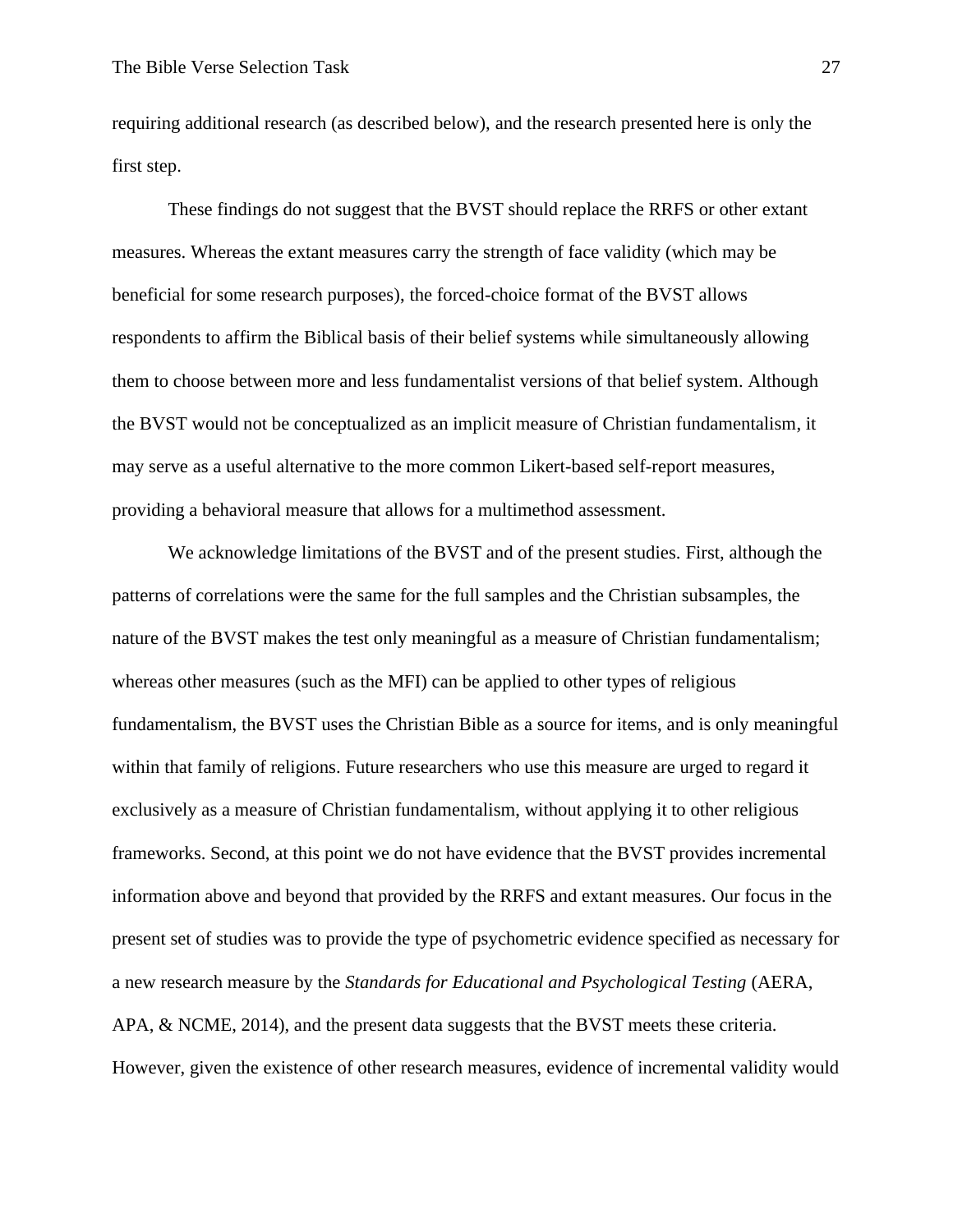requiring additional research (as described below), and the research presented here is only the first step.

These findings do not suggest that the BVST should replace the RRFS or other extant measures. Whereas the extant measures carry the strength of face validity (which may be beneficial for some research purposes), the forced-choice format of the BVST allows respondents to affirm the Biblical basis of their belief systems while simultaneously allowing them to choose between more and less fundamentalist versions of that belief system. Although the BVST would not be conceptualized as an implicit measure of Christian fundamentalism, it may serve as a useful alternative to the more common Likert-based self-report measures, providing a behavioral measure that allows for a multimethod assessment.

We acknowledge limitations of the BVST and of the present studies. First, although the patterns of correlations were the same for the full samples and the Christian subsamples, the nature of the BVST makes the test only meaningful as a measure of Christian fundamentalism; whereas other measures (such as the MFI) can be applied to other types of religious fundamentalism, the BVST uses the Christian Bible as a source for items, and is only meaningful within that family of religions. Future researchers who use this measure are urged to regard it exclusively as a measure of Christian fundamentalism, without applying it to other religious frameworks. Second, at this point we do not have evidence that the BVST provides incremental information above and beyond that provided by the RRFS and extant measures. Our focus in the present set of studies was to provide the type of psychometric evidence specified as necessary for a new research measure by the *Standards for Educational and Psychological Testing* (AERA, APA, & NCME, 2014), and the present data suggests that the BVST meets these criteria. However, given the existence of other research measures, evidence of incremental validity would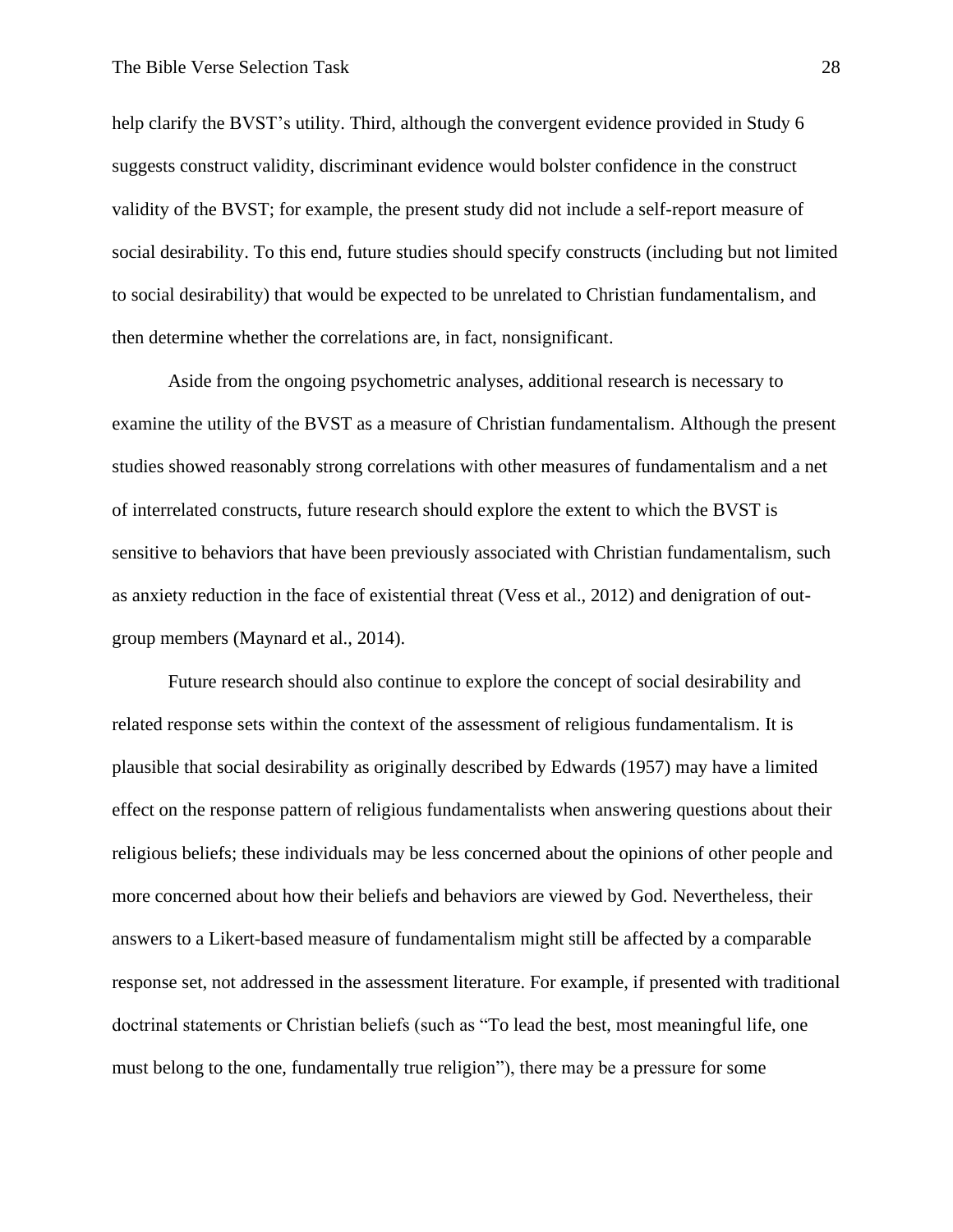help clarify the BVST's utility. Third, although the convergent evidence provided in Study 6 suggests construct validity, discriminant evidence would bolster confidence in the construct validity of the BVST; for example, the present study did not include a self-report measure of social desirability. To this end, future studies should specify constructs (including but not limited to social desirability) that would be expected to be unrelated to Christian fundamentalism, and then determine whether the correlations are, in fact, nonsignificant.

Aside from the ongoing psychometric analyses, additional research is necessary to examine the utility of the BVST as a measure of Christian fundamentalism. Although the present studies showed reasonably strong correlations with other measures of fundamentalism and a net of interrelated constructs, future research should explore the extent to which the BVST is sensitive to behaviors that have been previously associated with Christian fundamentalism, such as anxiety reduction in the face of existential threat (Vess et al., 2012) and denigration of outgroup members (Maynard et al., 2014).

Future research should also continue to explore the concept of social desirability and related response sets within the context of the assessment of religious fundamentalism. It is plausible that social desirability as originally described by Edwards (1957) may have a limited effect on the response pattern of religious fundamentalists when answering questions about their religious beliefs; these individuals may be less concerned about the opinions of other people and more concerned about how their beliefs and behaviors are viewed by God. Nevertheless, their answers to a Likert-based measure of fundamentalism might still be affected by a comparable response set, not addressed in the assessment literature. For example, if presented with traditional doctrinal statements or Christian beliefs (such as "To lead the best, most meaningful life, one must belong to the one, fundamentally true religion"), there may be a pressure for some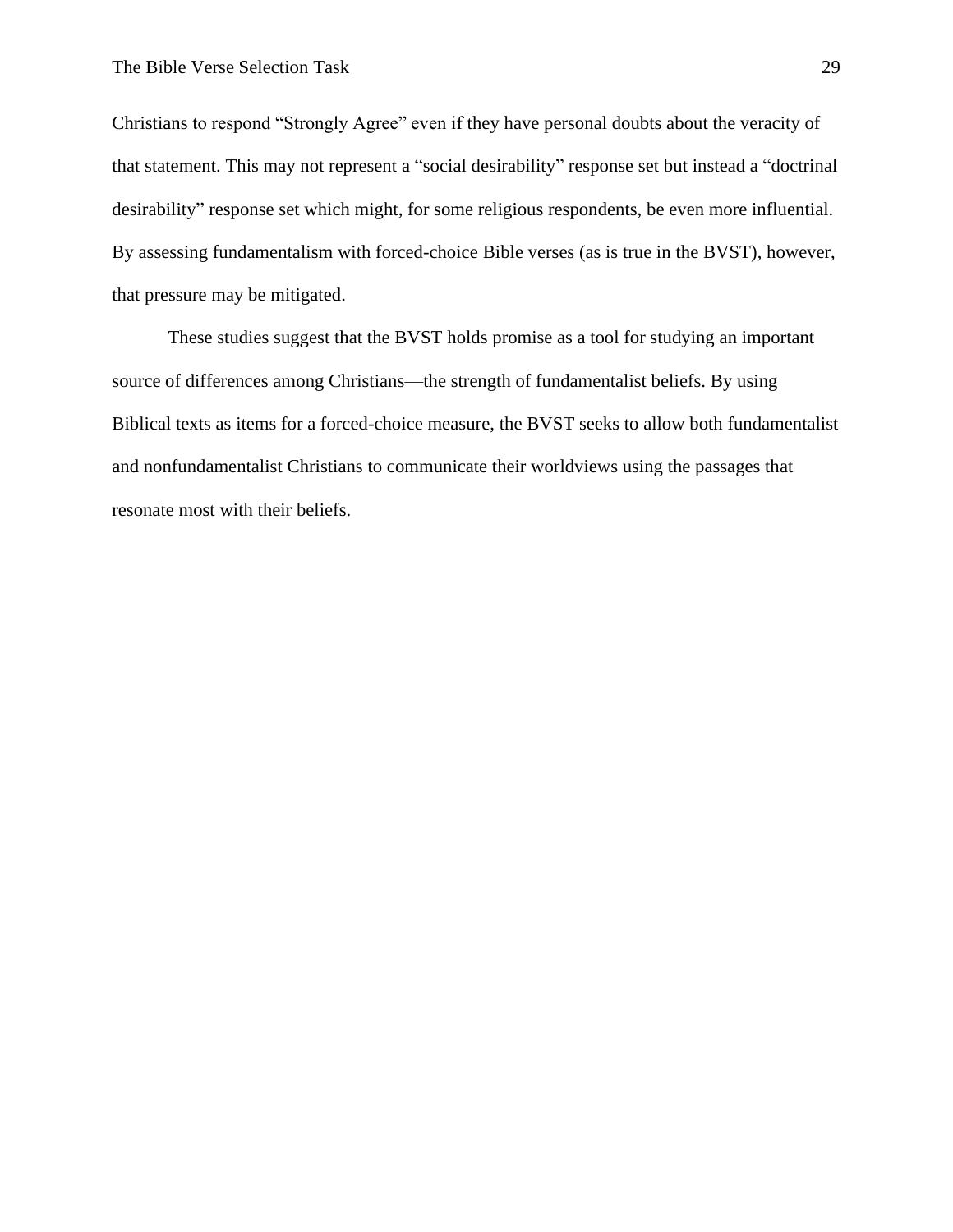Christians to respond "Strongly Agree" even if they have personal doubts about the veracity of that statement. This may not represent a "social desirability" response set but instead a "doctrinal desirability" response set which might, for some religious respondents, be even more influential. By assessing fundamentalism with forced-choice Bible verses (as is true in the BVST), however, that pressure may be mitigated.

These studies suggest that the BVST holds promise as a tool for studying an important source of differences among Christians—the strength of fundamentalist beliefs. By using Biblical texts as items for a forced-choice measure, the BVST seeks to allow both fundamentalist and nonfundamentalist Christians to communicate their worldviews using the passages that resonate most with their beliefs.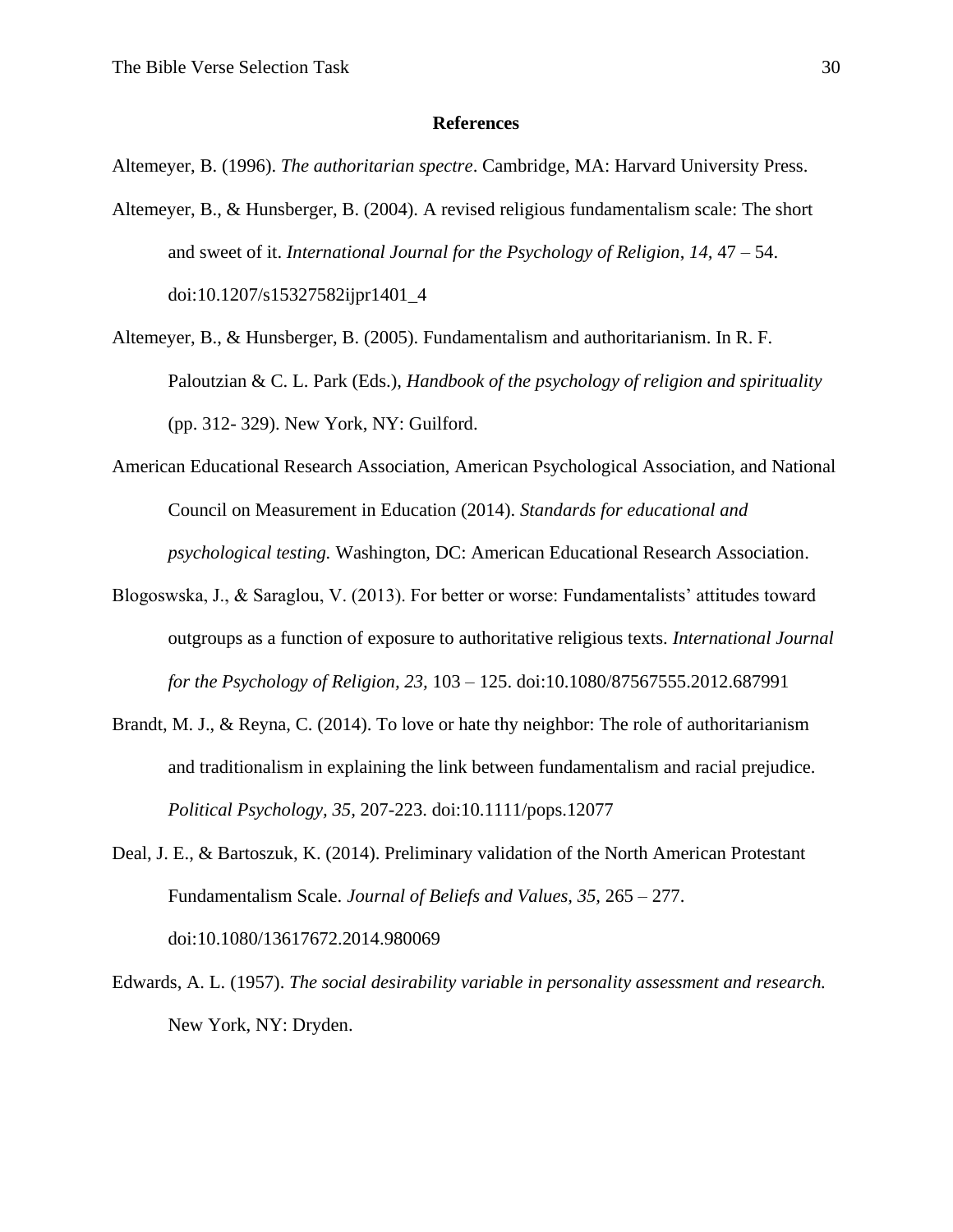#### **References**

Altemeyer, B. (1996). *The authoritarian spectre*. Cambridge, MA: Harvard University Press.

- Altemeyer, B., & Hunsberger, B. (2004). A revised religious fundamentalism scale: The short and sweet of it. *International Journal for the Psychology of Religion*, *14,* 47 – 54. doi:10.1207/s15327582ijpr1401\_4
- Altemeyer, B., & Hunsberger, B. (2005). Fundamentalism and authoritarianism. In R. F. Paloutzian & C. L. Park (Eds.), *Handbook of the psychology of religion and spirituality* (pp. 312- 329). New York, NY: Guilford.
- American Educational Research Association, American Psychological Association, and National Council on Measurement in Education (2014). *Standards for educational and psychological testing.* Washington, DC: American Educational Research Association.
- Blogoswska, J., & Saraglou, V. (2013). For better or worse: Fundamentalists' attitudes toward outgroups as a function of exposure to authoritative religious texts. *International Journal for the Psychology of Religion, 23,* 103 – 125. doi:10.1080/87567555.2012.687991
- Brandt, M. J., & Reyna, C. (2014). To love or hate thy neighbor: The role of authoritarianism and traditionalism in explaining the link between fundamentalism and racial prejudice. *Political Psychology, 35,* 207-223. doi:10.1111/pops.12077
- Deal, J. E., & Bartoszuk, K. (2014). Preliminary validation of the North American Protestant Fundamentalism Scale. *Journal of Beliefs and Values, 35,* 265 – 277. doi:10.1080/13617672.2014.980069
- Edwards, A. L. (1957). *The social desirability variable in personality assessment and research.*  New York, NY: Dryden.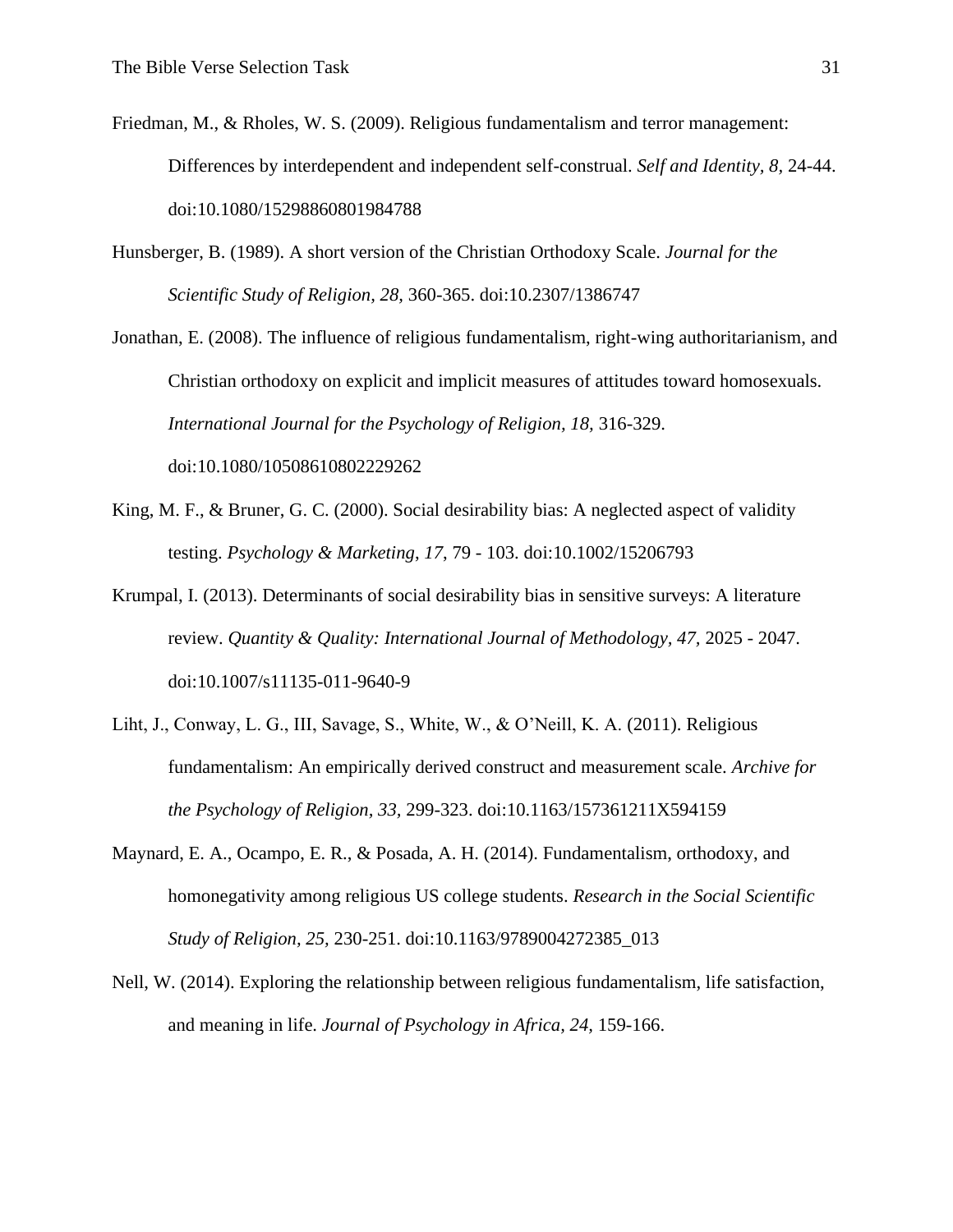- Friedman, M., & Rholes, W. S. (2009). Religious fundamentalism and terror management: Differences by interdependent and independent self-construal. *Self and Identity, 8,* 24-44. doi:10.1080/15298860801984788
- Hunsberger, B. (1989). A short version of the Christian Orthodoxy Scale. *Journal for the Scientific Study of Religion, 28,* 360-365. doi:10.2307/1386747

Jonathan, E. (2008). The influence of religious fundamentalism, right-wing authoritarianism, and Christian orthodoxy on explicit and implicit measures of attitudes toward homosexuals. *International Journal for the Psychology of Religion, 18,* 316-329. doi:10.1080/10508610802229262

- King, M. F., & Bruner, G. C. (2000). Social desirability bias: A neglected aspect of validity testing. *Psychology & Marketing*, *17*, 79 - 103. doi:10.1002/15206793
- Krumpal, I. (2013). Determinants of social desirability bias in sensitive surveys: A literature review. *Quantity & Quality: International Journal of Methodology, 47,* 2025 - 2047. doi:10.1007/s11135-011-9640-9
- Liht, J., Conway, L. G., III, Savage, S., White, W., & O'Neill, K. A. (2011). Religious fundamentalism: An empirically derived construct and measurement scale. *Archive for the Psychology of Religion, 33,* 299-323. doi:10.1163/157361211X594159
- Maynard, E. A., Ocampo, E. R., & Posada, A. H. (2014). Fundamentalism, orthodoxy, and homonegativity among religious US college students. *Research in the Social Scientific Study of Religion, 25,* 230-251. doi:10.1163/9789004272385\_013
- Nell, W. (2014). Exploring the relationship between religious fundamentalism, life satisfaction, and meaning in life. *Journal of Psychology in Africa, 24,* 159-166.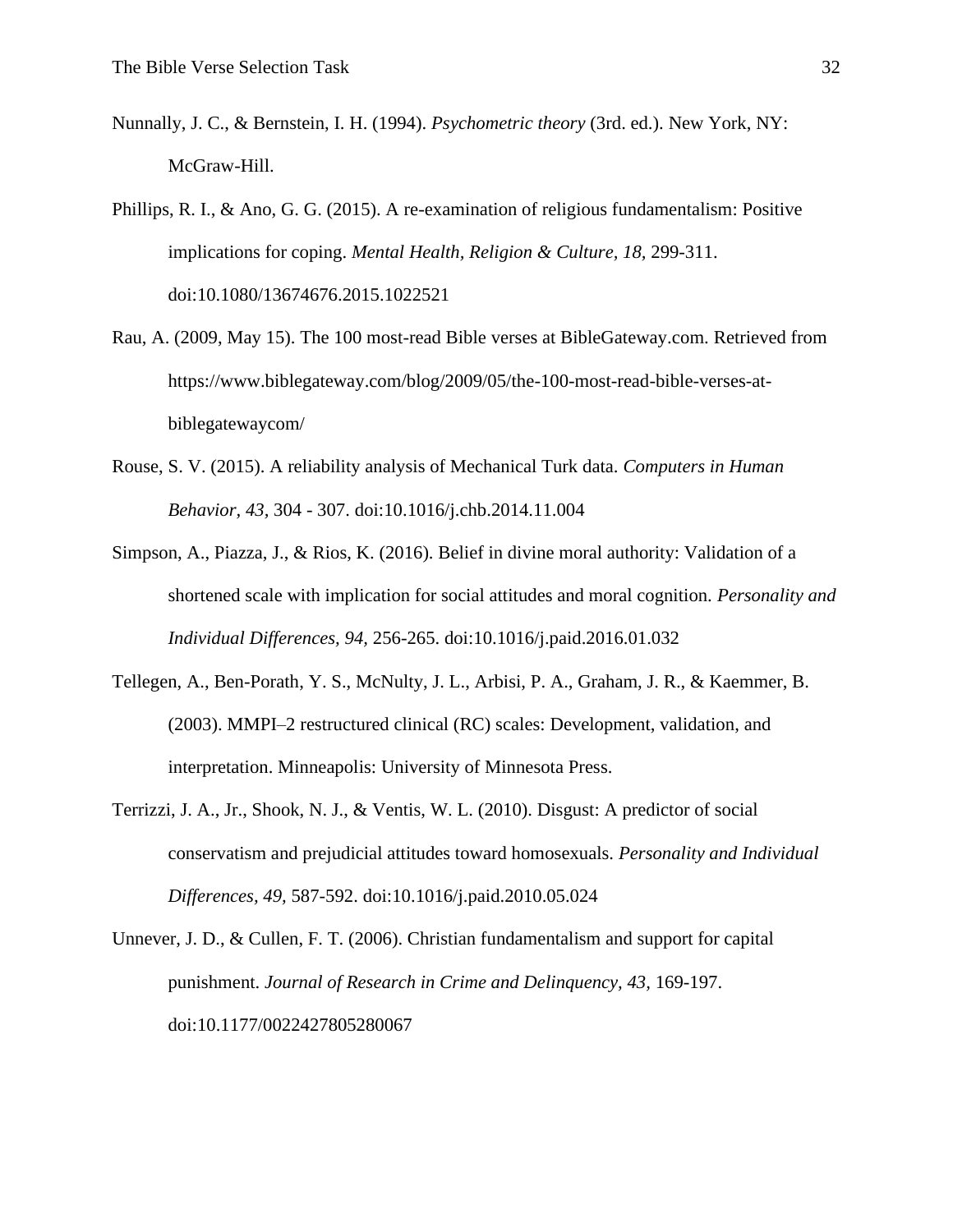- Nunnally, J. C., & Bernstein, I. H. (1994). *Psychometric theory* (3rd. ed.). New York, NY: McGraw-Hill.
- Phillips, R. I., & Ano, G. G. (2015). A re-examination of religious fundamentalism: Positive implications for coping. *Mental Health, Religion & Culture, 18,* 299-311. doi:10.1080/13674676.2015.1022521
- Rau, A. (2009, May 15). The 100 most-read Bible verses at BibleGateway.com. Retrieved from https://www.biblegateway.com/blog/2009/05/the-100-most-read-bible-verses-atbiblegatewaycom/
- Rouse, S. V. (2015). A reliability analysis of Mechanical Turk data. *Computers in Human Behavior, 43,* 304 - 307. doi:10.1016/j.chb.2014.11.004
- Simpson, A., Piazza, J., & Rios, K. (2016). Belief in divine moral authority: Validation of a shortened scale with implication for social attitudes and moral cognition. *Personality and Individual Differences, 94,* 256-265. doi:10.1016/j.paid.2016.01.032
- Tellegen, A., Ben-Porath, Y. S., McNulty, J. L., Arbisi, P. A., Graham, J. R., & Kaemmer, B. (2003). MMPI–2 restructured clinical (RC) scales: Development, validation, and interpretation. Minneapolis: University of Minnesota Press.
- Terrizzi, J. A., Jr., Shook, N. J., & Ventis, W. L. (2010). Disgust: A predictor of social conservatism and prejudicial attitudes toward homosexuals. *Personality and Individual Differences, 49,* 587-592. doi:10.1016/j.paid.2010.05.024
- Unnever, J. D., & Cullen, F. T. (2006). Christian fundamentalism and support for capital punishment. *Journal of Research in Crime and Delinquency, 43,* 169-197. doi:10.1177/0022427805280067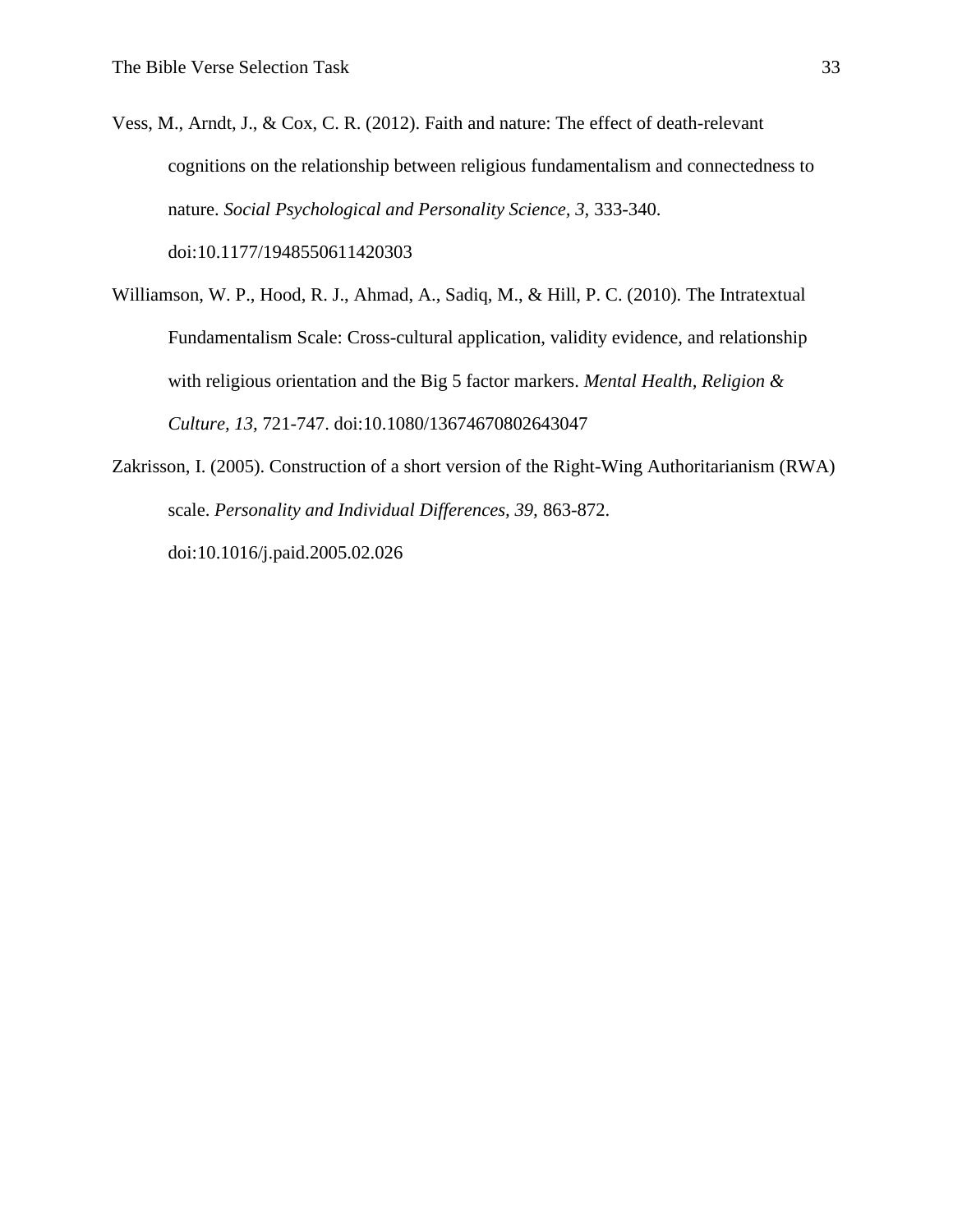- Vess, M., Arndt, J., & Cox, C. R. (2012). Faith and nature: The effect of death-relevant cognitions on the relationship between religious fundamentalism and connectedness to nature. *Social Psychological and Personality Science, 3,* 333-340. doi:10.1177/1948550611420303
- Williamson, W. P., Hood, R. J., Ahmad, A., Sadiq, M., & Hill, P. C. (2010). The Intratextual Fundamentalism Scale: Cross-cultural application, validity evidence, and relationship with religious orientation and the Big 5 factor markers. *Mental Health, Religion & Culture, 13,* 721-747. doi:10.1080/13674670802643047
- Zakrisson, I. (2005). Construction of a short version of the Right-Wing Authoritarianism (RWA) scale. *Personality and Individual Differences, 39,* 863-872. doi:10.1016/j.paid.2005.02.026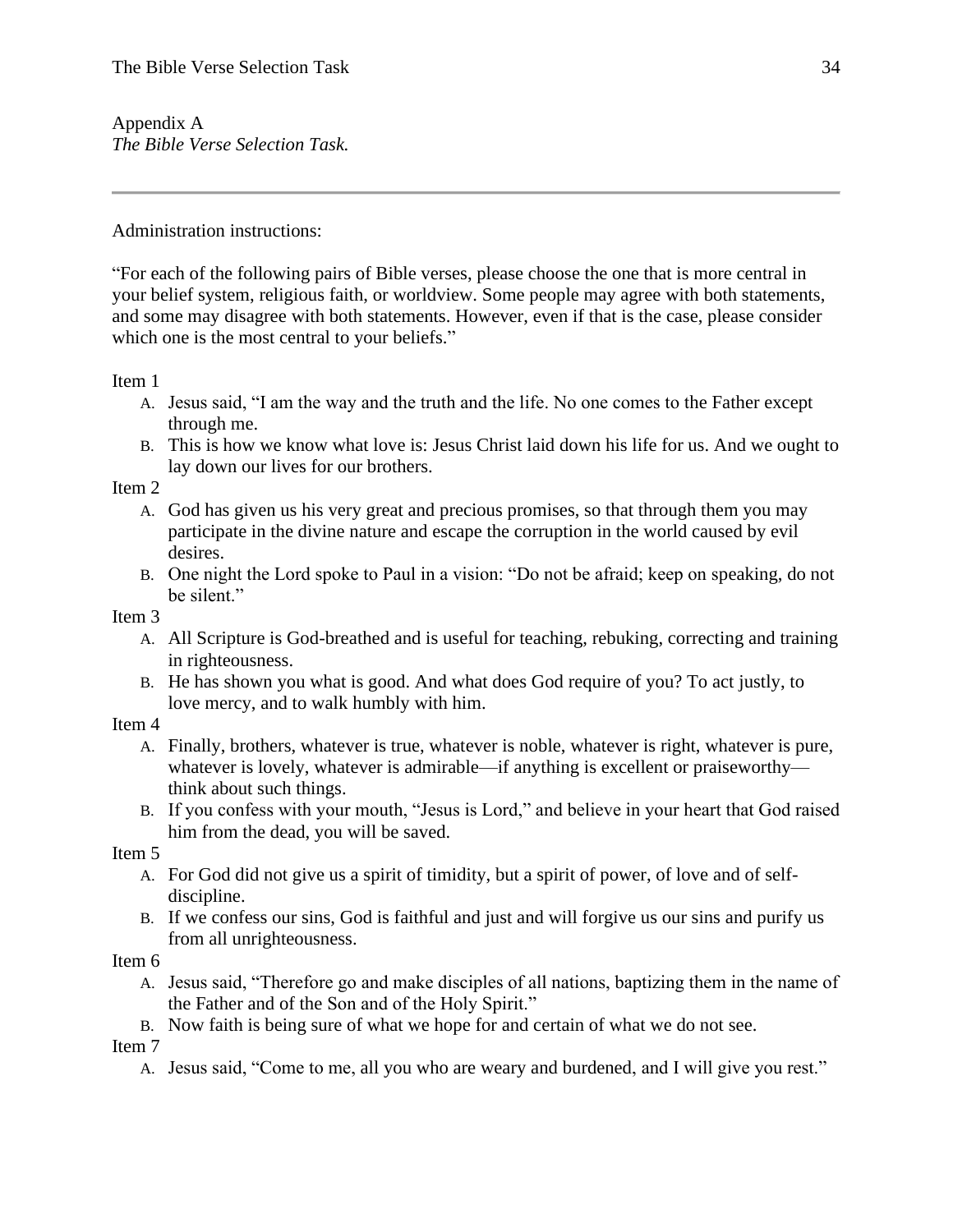Appendix A *The Bible Verse Selection Task.*

Administration instructions:

"For each of the following pairs of Bible verses, please choose the one that is more central in your belief system, religious faith, or worldview. Some people may agree with both statements, and some may disagree with both statements. However, even if that is the case, please consider which one is the most central to your beliefs."

Item 1

- A. Jesus said, "I am the way and the truth and the life. No one comes to the Father except through me.
- B. This is how we know what love is: Jesus Christ laid down his life for us. And we ought to lay down our lives for our brothers.

Item 2

- A. God has given us his very great and precious promises, so that through them you may participate in the divine nature and escape the corruption in the world caused by evil desires.
- B. One night the Lord spoke to Paul in a vision: "Do not be afraid; keep on speaking, do not be silent."

Item 3

- A. All Scripture is God-breathed and is useful for teaching, rebuking, correcting and training in righteousness.
- B. He has shown you what is good. And what does God require of you? To act justly, to love mercy, and to walk humbly with him.

Item 4

- A. Finally, brothers, whatever is true, whatever is noble, whatever is right, whatever is pure, whatever is lovely, whatever is admirable—if anything is excellent or praiseworthy think about such things.
- B. If you confess with your mouth, "Jesus is Lord," and believe in your heart that God raised him from the dead, you will be saved.

Item 5

- A. For God did not give us a spirit of timidity, but a spirit of power, of love and of selfdiscipline.
- B. If we confess our sins, God is faithful and just and will forgive us our sins and purify us from all unrighteousness.

# Item 6

- A. Jesus said, "Therefore go and make disciples of all nations, baptizing them in the name of the Father and of the Son and of the Holy Spirit."
- B. Now faith is being sure of what we hope for and certain of what we do not see.

Item 7

A. Jesus said, "Come to me, all you who are weary and burdened, and I will give you rest."